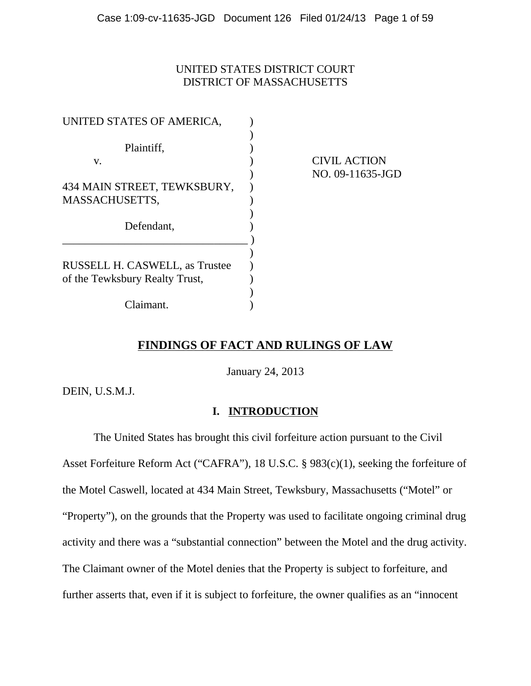## UNITED STATES DISTRICT COURT DISTRICT OF MASSACHUSETTS

| UNITED STATES OF AMERICA,                                        |                     |
|------------------------------------------------------------------|---------------------|
| Plaintiff,<br>V.                                                 | <b>CIVIL ACTION</b> |
| 434 MAIN STREET, TEWKSBURY,<br>MASSACHUSETTS,                    | NO. 09-11635-JGD    |
| Defendant,                                                       |                     |
| RUSSELL H. CASWELL, as Trustee<br>of the Tewksbury Realty Trust, |                     |
| Claimant.                                                        |                     |

# **FINDINGS OF FACT AND RULINGS OF LAW**

January 24, 2013

DEIN, U.S.M.J.

## **I. INTRODUCTION**

The United States has brought this civil forfeiture action pursuant to the Civil Asset Forfeiture Reform Act ("CAFRA"), 18 U.S.C. § 983(c)(1), seeking the forfeiture of the Motel Caswell, located at 434 Main Street, Tewksbury, Massachusetts ("Motel" or "Property"), on the grounds that the Property was used to facilitate ongoing criminal drug activity and there was a "substantial connection" between the Motel and the drug activity. The Claimant owner of the Motel denies that the Property is subject to forfeiture, and further asserts that, even if it is subject to forfeiture, the owner qualifies as an "innocent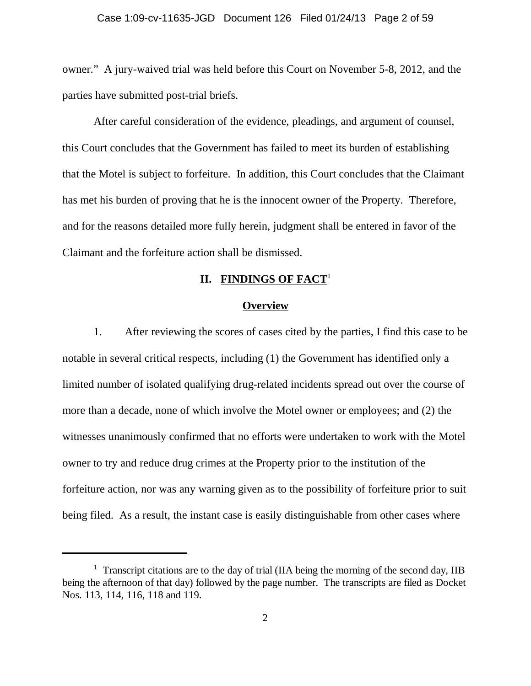owner." A jury-waived trial was held before this Court on November 5-8, 2012, and the parties have submitted post-trial briefs.

After careful consideration of the evidence, pleadings, and argument of counsel, this Court concludes that the Government has failed to meet its burden of establishing that the Motel is subject to forfeiture. In addition, this Court concludes that the Claimant has met his burden of proving that he is the innocent owner of the Property. Therefore, and for the reasons detailed more fully herein, judgment shall be entered in favor of the Claimant and the forfeiture action shall be dismissed.

## **II. FINDINGS OF FACT**<sup>1</sup>

#### **Overview**

1. After reviewing the scores of cases cited by the parties, I find this case to be notable in several critical respects, including (1) the Government has identified only a limited number of isolated qualifying drug-related incidents spread out over the course of more than a decade, none of which involve the Motel owner or employees; and (2) the witnesses unanimously confirmed that no efforts were undertaken to work with the Motel owner to try and reduce drug crimes at the Property prior to the institution of the forfeiture action, nor was any warning given as to the possibility of forfeiture prior to suit being filed. As a result, the instant case is easily distinguishable from other cases where

<sup>&</sup>lt;sup>1</sup> Transcript citations are to the day of trial (IIA being the morning of the second day, IIB being the afternoon of that day) followed by the page number. The transcripts are filed as Docket Nos. 113, 114, 116, 118 and 119.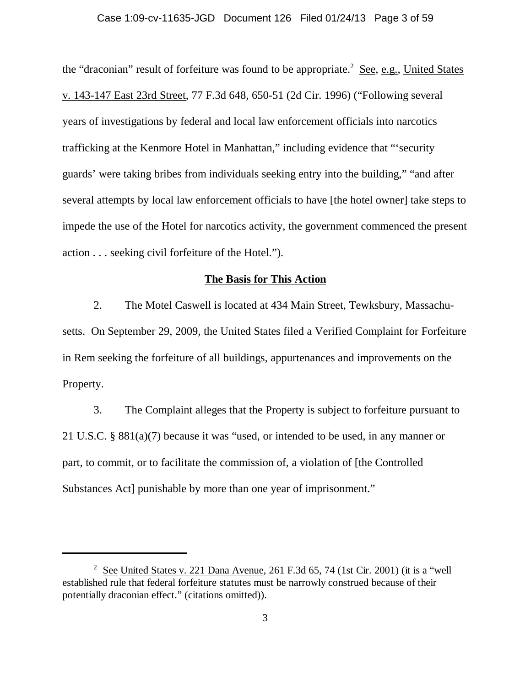#### Case 1:09-cv-11635-JGD Document 126 Filed 01/24/13 Page 3 of 59

the "draconian" result of forfeiture was found to be appropriate.<sup>2</sup> See, e.g., United States v. 143-147 East 23rd Street, 77 F.3d 648, 650-51 (2d Cir. 1996) ("Following several years of investigations by federal and local law enforcement officials into narcotics trafficking at the Kenmore Hotel in Manhattan," including evidence that "'security guards' were taking bribes from individuals seeking entry into the building," "and after several attempts by local law enforcement officials to have [the hotel owner] take steps to impede the use of the Hotel for narcotics activity, the government commenced the present action . . . seeking civil forfeiture of the Hotel.").

## **The Basis for This Action**

2. The Motel Caswell is located at 434 Main Street, Tewksbury, Massachusetts. On September 29, 2009, the United States filed a Verified Complaint for Forfeiture in Rem seeking the forfeiture of all buildings, appurtenances and improvements on the Property.

3. The Complaint alleges that the Property is subject to forfeiture pursuant to 21 U.S.C. § 881(a)(7) because it was "used, or intended to be used, in any manner or part, to commit, or to facilitate the commission of, a violation of [the Controlled Substances Act] punishable by more than one year of imprisonment."

 $2^{2}$  See United States v. 221 Dana Avenue, 261 F.3d 65, 74 (1st Cir. 2001) (it is a "well established rule that federal forfeiture statutes must be narrowly construed because of their potentially draconian effect." (citations omitted)).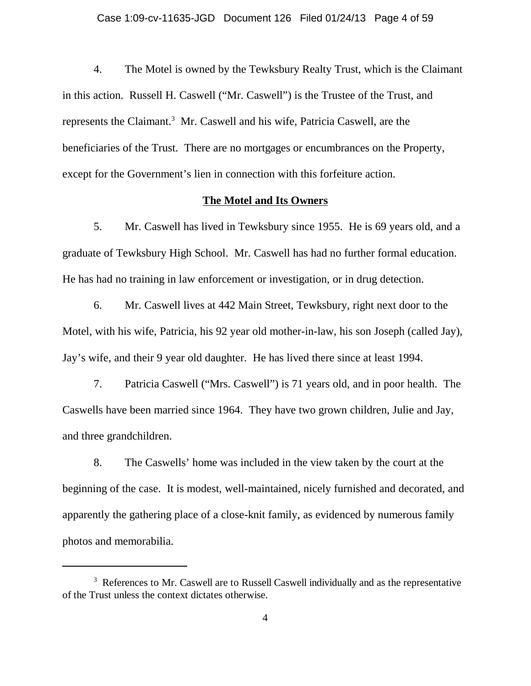4. The Motel is owned by the Tewksbury Realty Trust, which is the Claimant in this action. Russell H. Caswell ("Mr. Caswell") is the Trustee of the Trust, and represents the Claimant.<sup>3</sup> Mr. Caswell and his wife, Patricia Caswell, are the beneficiaries of the Trust. There are no mortgages or encumbrances on the Property, except for the Government's lien in connection with this forfeiture action.

## **The Motel and Its Owners**

5. Mr. Caswell has lived in Tewksbury since 1955. He is 69 years old, and a graduate of Tewksbury High School. Mr. Caswell has had no further formal education. He has had no training in law enforcement or investigation, or in drug detection.

6. Mr. Caswell lives at 442 Main Street, Tewksbury, right next door to the Motel, with his wife, Patricia, his 92 year old mother-in-law, his son Joseph (called Jay), Jay's wife, and their 9 year old daughter. He has lived there since at least 1994.

7. Patricia Caswell ("Mrs. Caswell") is 71 years old, and in poor health. The Caswells have been married since 1964. They have two grown children, Julie and Jay, and three grandchildren.

8. The Caswells' home was included in the view taken by the court at the beginning of the case. It is modest, well-maintained, nicely furnished and decorated, and apparently the gathering place of a close-knit family, as evidenced by numerous family photos and memorabilia.

<sup>&</sup>lt;sup>3</sup> References to Mr. Caswell are to Russell Caswell individually and as the representative of the Trust unless the context dictates otherwise.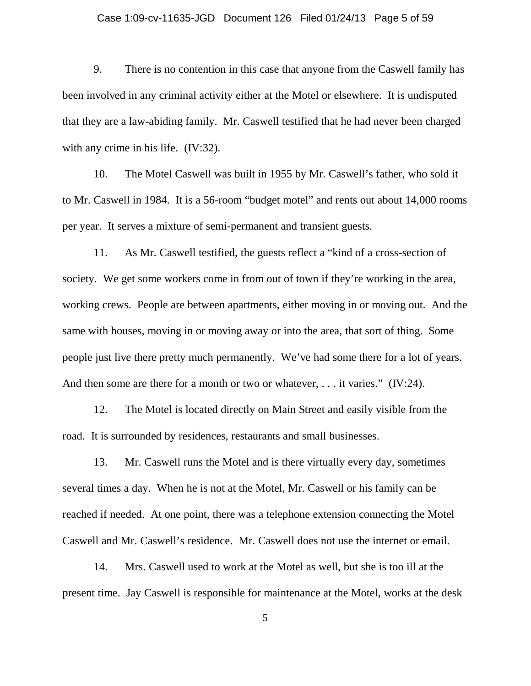#### Case 1:09-cv-11635-JGD Document 126 Filed 01/24/13 Page 5 of 59

9. There is no contention in this case that anyone from the Caswell family has been involved in any criminal activity either at the Motel or elsewhere. It is undisputed that they are a law-abiding family. Mr. Caswell testified that he had never been charged with any crime in his life. (IV:32).

10. The Motel Caswell was built in 1955 by Mr. Caswell's father, who sold it to Mr. Caswell in 1984. It is a 56-room "budget motel" and rents out about 14,000 rooms per year. It serves a mixture of semi-permanent and transient guests.

11. As Mr. Caswell testified, the guests reflect a "kind of a cross-section of society. We get some workers come in from out of town if they're working in the area, working crews. People are between apartments, either moving in or moving out. And the same with houses, moving in or moving away or into the area, that sort of thing. Some people just live there pretty much permanently. We've had some there for a lot of years. And then some are there for a month or two or whatever, ... it varies." (IV:24).

12. The Motel is located directly on Main Street and easily visible from the road. It is surrounded by residences, restaurants and small businesses.

13. Mr. Caswell runs the Motel and is there virtually every day, sometimes several times a day. When he is not at the Motel, Mr. Caswell or his family can be reached if needed. At one point, there was a telephone extension connecting the Motel Caswell and Mr. Caswell's residence. Mr. Caswell does not use the internet or email.

14. Mrs. Caswell used to work at the Motel as well, but she is too ill at the present time. Jay Caswell is responsible for maintenance at the Motel, works at the desk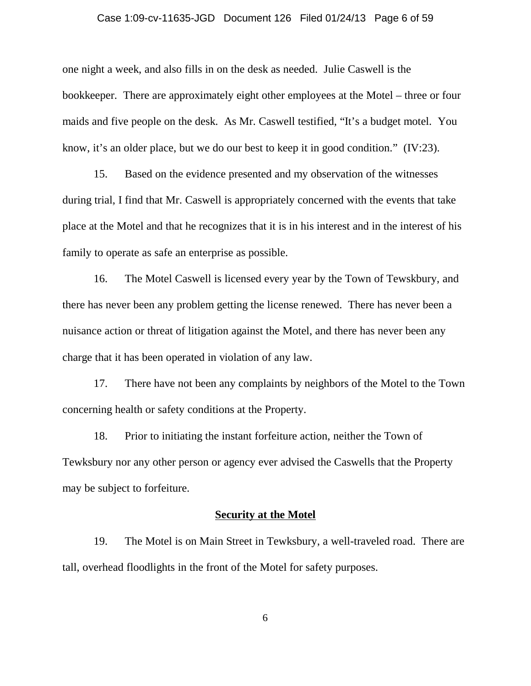#### Case 1:09-cv-11635-JGD Document 126 Filed 01/24/13 Page 6 of 59

one night a week, and also fills in on the desk as needed. Julie Caswell is the bookkeeper. There are approximately eight other employees at the Motel – three or four maids and five people on the desk. As Mr. Caswell testified, "It's a budget motel. You know, it's an older place, but we do our best to keep it in good condition." (IV:23).

15. Based on the evidence presented and my observation of the witnesses during trial, I find that Mr. Caswell is appropriately concerned with the events that take place at the Motel and that he recognizes that it is in his interest and in the interest of his family to operate as safe an enterprise as possible.

16. The Motel Caswell is licensed every year by the Town of Tewskbury, and there has never been any problem getting the license renewed. There has never been a nuisance action or threat of litigation against the Motel, and there has never been any charge that it has been operated in violation of any law.

17. There have not been any complaints by neighbors of the Motel to the Town concerning health or safety conditions at the Property.

18. Prior to initiating the instant forfeiture action, neither the Town of Tewksbury nor any other person or agency ever advised the Caswells that the Property may be subject to forfeiture.

### **Security at the Motel**

19. The Motel is on Main Street in Tewksbury, a well-traveled road. There are tall, overhead floodlights in the front of the Motel for safety purposes.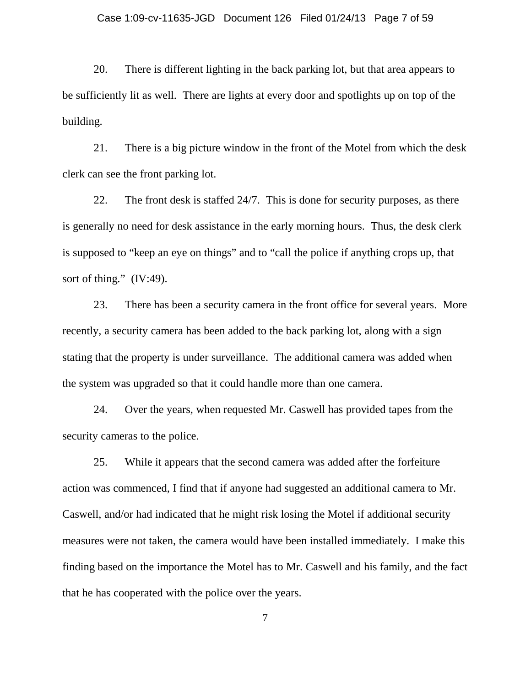#### Case 1:09-cv-11635-JGD Document 126 Filed 01/24/13 Page 7 of 59

20. There is different lighting in the back parking lot, but that area appears to be sufficiently lit as well. There are lights at every door and spotlights up on top of the building.

21. There is a big picture window in the front of the Motel from which the desk clerk can see the front parking lot.

22. The front desk is staffed 24/7. This is done for security purposes, as there is generally no need for desk assistance in the early morning hours. Thus, the desk clerk is supposed to "keep an eye on things" and to "call the police if anything crops up, that sort of thing." (IV:49).

23. There has been a security camera in the front office for several years. More recently, a security camera has been added to the back parking lot, along with a sign stating that the property is under surveillance. The additional camera was added when the system was upgraded so that it could handle more than one camera.

24. Over the years, when requested Mr. Caswell has provided tapes from the security cameras to the police.

25. While it appears that the second camera was added after the forfeiture action was commenced, I find that if anyone had suggested an additional camera to Mr. Caswell, and/or had indicated that he might risk losing the Motel if additional security measures were not taken, the camera would have been installed immediately. I make this finding based on the importance the Motel has to Mr. Caswell and his family, and the fact that he has cooperated with the police over the years.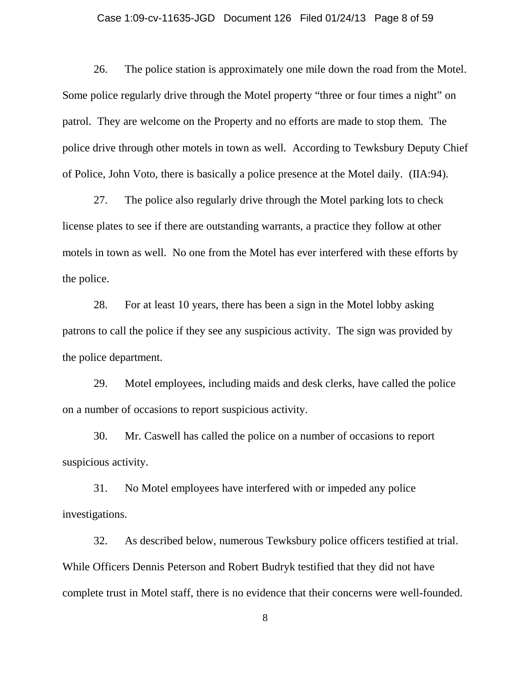#### Case 1:09-cv-11635-JGD Document 126 Filed 01/24/13 Page 8 of 59

26. The police station is approximately one mile down the road from the Motel. Some police regularly drive through the Motel property "three or four times a night" on patrol. They are welcome on the Property and no efforts are made to stop them. The police drive through other motels in town as well. According to Tewksbury Deputy Chief of Police, John Voto, there is basically a police presence at the Motel daily. (IIA:94).

27. The police also regularly drive through the Motel parking lots to check license plates to see if there are outstanding warrants, a practice they follow at other motels in town as well. No one from the Motel has ever interfered with these efforts by the police.

28. For at least 10 years, there has been a sign in the Motel lobby asking patrons to call the police if they see any suspicious activity. The sign was provided by the police department.

29. Motel employees, including maids and desk clerks, have called the police on a number of occasions to report suspicious activity.

30. Mr. Caswell has called the police on a number of occasions to report suspicious activity.

31. No Motel employees have interfered with or impeded any police investigations.

32. As described below, numerous Tewksbury police officers testified at trial. While Officers Dennis Peterson and Robert Budryk testified that they did not have complete trust in Motel staff, there is no evidence that their concerns were well-founded.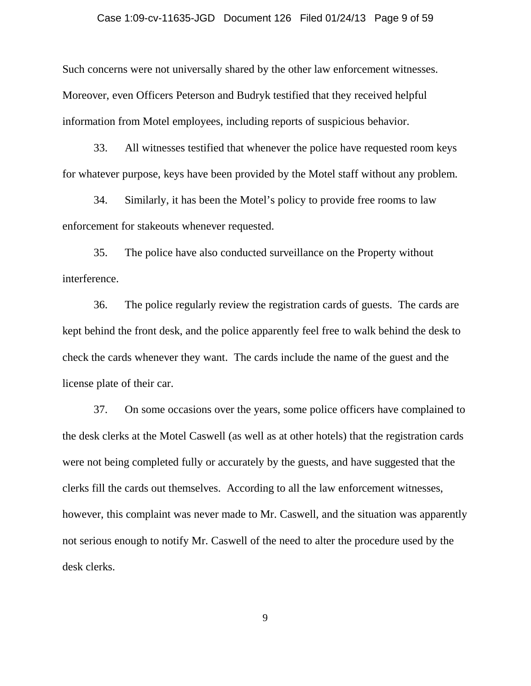#### Case 1:09-cv-11635-JGD Document 126 Filed 01/24/13 Page 9 of 59

Such concerns were not universally shared by the other law enforcement witnesses. Moreover, even Officers Peterson and Budryk testified that they received helpful information from Motel employees, including reports of suspicious behavior.

33. All witnesses testified that whenever the police have requested room keys for whatever purpose, keys have been provided by the Motel staff without any problem.

34. Similarly, it has been the Motel's policy to provide free rooms to law enforcement for stakeouts whenever requested.

35. The police have also conducted surveillance on the Property without interference.

36. The police regularly review the registration cards of guests. The cards are kept behind the front desk, and the police apparently feel free to walk behind the desk to check the cards whenever they want. The cards include the name of the guest and the license plate of their car.

37. On some occasions over the years, some police officers have complained to the desk clerks at the Motel Caswell (as well as at other hotels) that the registration cards were not being completed fully or accurately by the guests, and have suggested that the clerks fill the cards out themselves. According to all the law enforcement witnesses, however, this complaint was never made to Mr. Caswell, and the situation was apparently not serious enough to notify Mr. Caswell of the need to alter the procedure used by the desk clerks.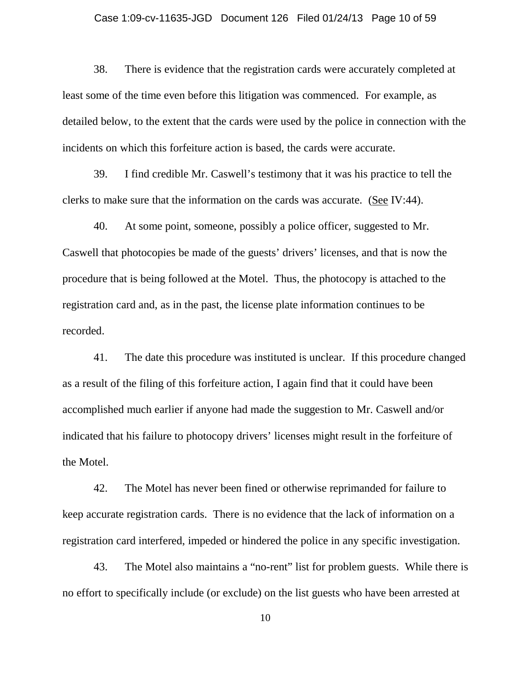#### Case 1:09-cv-11635-JGD Document 126 Filed 01/24/13 Page 10 of 59

38. There is evidence that the registration cards were accurately completed at least some of the time even before this litigation was commenced. For example, as detailed below, to the extent that the cards were used by the police in connection with the incidents on which this forfeiture action is based, the cards were accurate.

39. I find credible Mr. Caswell's testimony that it was his practice to tell the clerks to make sure that the information on the cards was accurate. (See IV:44).

40. At some point, someone, possibly a police officer, suggested to Mr. Caswell that photocopies be made of the guests' drivers' licenses, and that is now the procedure that is being followed at the Motel. Thus, the photocopy is attached to the registration card and, as in the past, the license plate information continues to be recorded.

41. The date this procedure was instituted is unclear. If this procedure changed as a result of the filing of this forfeiture action, I again find that it could have been accomplished much earlier if anyone had made the suggestion to Mr. Caswell and/or indicated that his failure to photocopy drivers' licenses might result in the forfeiture of the Motel.

42. The Motel has never been fined or otherwise reprimanded for failure to keep accurate registration cards. There is no evidence that the lack of information on a registration card interfered, impeded or hindered the police in any specific investigation.

43. The Motel also maintains a "no-rent" list for problem guests. While there is no effort to specifically include (or exclude) on the list guests who have been arrested at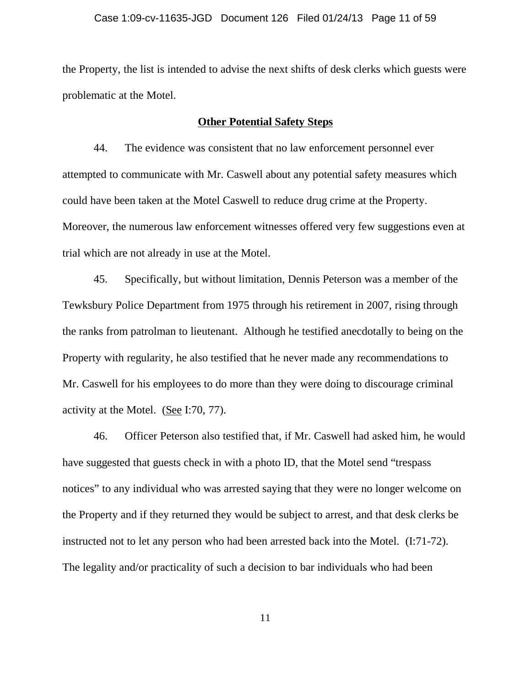the Property, the list is intended to advise the next shifts of desk clerks which guests were problematic at the Motel.

## **Other Potential Safety Steps**

44. The evidence was consistent that no law enforcement personnel ever attempted to communicate with Mr. Caswell about any potential safety measures which could have been taken at the Motel Caswell to reduce drug crime at the Property. Moreover, the numerous law enforcement witnesses offered very few suggestions even at trial which are not already in use at the Motel.

45. Specifically, but without limitation, Dennis Peterson was a member of the Tewksbury Police Department from 1975 through his retirement in 2007, rising through the ranks from patrolman to lieutenant. Although he testified anecdotally to being on the Property with regularity, he also testified that he never made any recommendations to Mr. Caswell for his employees to do more than they were doing to discourage criminal activity at the Motel. (See I:70, 77).

46. Officer Peterson also testified that, if Mr. Caswell had asked him, he would have suggested that guests check in with a photo ID, that the Motel send "trespass notices" to any individual who was arrested saying that they were no longer welcome on the Property and if they returned they would be subject to arrest, and that desk clerks be instructed not to let any person who had been arrested back into the Motel. (I:71-72). The legality and/or practicality of such a decision to bar individuals who had been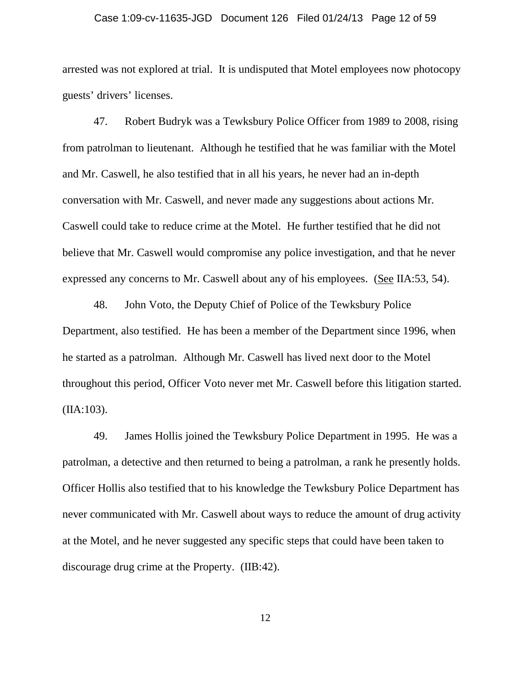#### Case 1:09-cv-11635-JGD Document 126 Filed 01/24/13 Page 12 of 59

arrested was not explored at trial. It is undisputed that Motel employees now photocopy guests' drivers' licenses.

47. Robert Budryk was a Tewksbury Police Officer from 1989 to 2008, rising from patrolman to lieutenant. Although he testified that he was familiar with the Motel and Mr. Caswell, he also testified that in all his years, he never had an in-depth conversation with Mr. Caswell, and never made any suggestions about actions Mr. Caswell could take to reduce crime at the Motel. He further testified that he did not believe that Mr. Caswell would compromise any police investigation, and that he never expressed any concerns to Mr. Caswell about any of his employees. (See IIA:53, 54).

48. John Voto, the Deputy Chief of Police of the Tewksbury Police Department, also testified. He has been a member of the Department since 1996, when he started as a patrolman. Although Mr. Caswell has lived next door to the Motel throughout this period, Officer Voto never met Mr. Caswell before this litigation started. (IIA:103).

49. James Hollis joined the Tewksbury Police Department in 1995. He was a patrolman, a detective and then returned to being a patrolman, a rank he presently holds. Officer Hollis also testified that to his knowledge the Tewksbury Police Department has never communicated with Mr. Caswell about ways to reduce the amount of drug activity at the Motel, and he never suggested any specific steps that could have been taken to discourage drug crime at the Property. (IIB:42).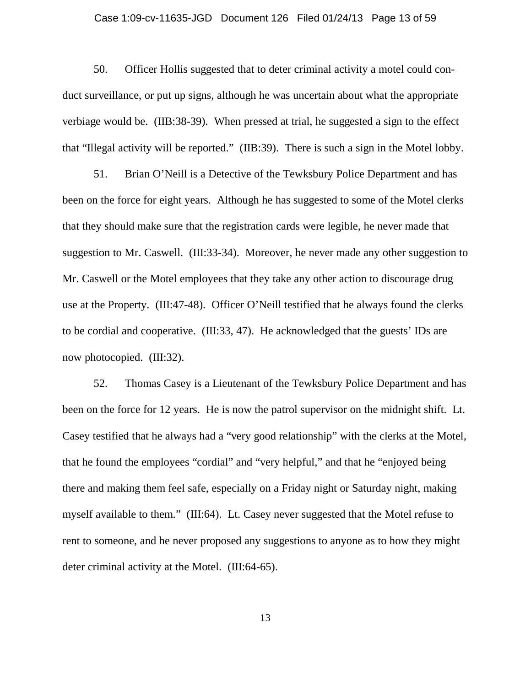#### Case 1:09-cv-11635-JGD Document 126 Filed 01/24/13 Page 13 of 59

50. Officer Hollis suggested that to deter criminal activity a motel could conduct surveillance, or put up signs, although he was uncertain about what the appropriate verbiage would be. (IIB:38-39). When pressed at trial, he suggested a sign to the effect that "Illegal activity will be reported." (IIB:39). There is such a sign in the Motel lobby.

51. Brian O'Neill is a Detective of the Tewksbury Police Department and has been on the force for eight years. Although he has suggested to some of the Motel clerks that they should make sure that the registration cards were legible, he never made that suggestion to Mr. Caswell. (III:33-34). Moreover, he never made any other suggestion to Mr. Caswell or the Motel employees that they take any other action to discourage drug use at the Property. (III:47-48). Officer O'Neill testified that he always found the clerks to be cordial and cooperative. (III:33, 47). He acknowledged that the guests' IDs are now photocopied. (III:32).

52. Thomas Casey is a Lieutenant of the Tewksbury Police Department and has been on the force for 12 years. He is now the patrol supervisor on the midnight shift. Lt. Casey testified that he always had a "very good relationship" with the clerks at the Motel, that he found the employees "cordial" and "very helpful," and that he "enjoyed being there and making them feel safe, especially on a Friday night or Saturday night, making myself available to them." (III:64). Lt. Casey never suggested that the Motel refuse to rent to someone, and he never proposed any suggestions to anyone as to how they might deter criminal activity at the Motel. (III:64-65).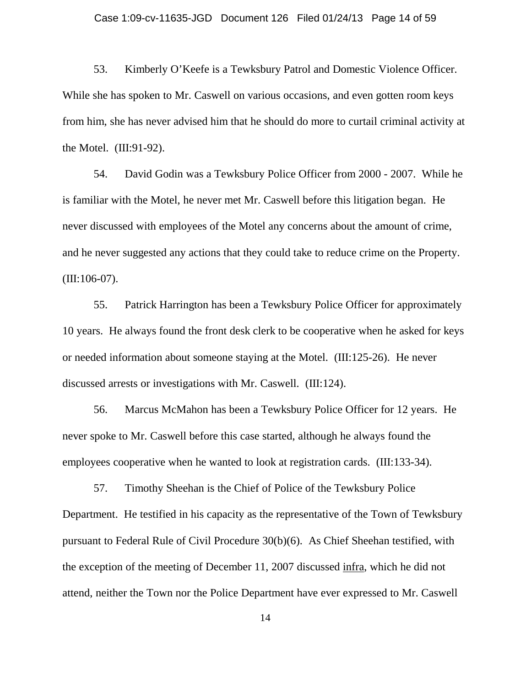53. Kimberly O'Keefe is a Tewksbury Patrol and Domestic Violence Officer. While she has spoken to Mr. Caswell on various occasions, and even gotten room keys from him, she has never advised him that he should do more to curtail criminal activity at the Motel. (III:91-92).

54. David Godin was a Tewksbury Police Officer from 2000 - 2007. While he is familiar with the Motel, he never met Mr. Caswell before this litigation began. He never discussed with employees of the Motel any concerns about the amount of crime, and he never suggested any actions that they could take to reduce crime on the Property.  $(III:106-07)$ .

55. Patrick Harrington has been a Tewksbury Police Officer for approximately 10 years. He always found the front desk clerk to be cooperative when he asked for keys or needed information about someone staying at the Motel. (III:125-26). He never discussed arrests or investigations with Mr. Caswell. (III:124).

56. Marcus McMahon has been a Tewksbury Police Officer for 12 years. He never spoke to Mr. Caswell before this case started, although he always found the employees cooperative when he wanted to look at registration cards. (III:133-34).

57. Timothy Sheehan is the Chief of Police of the Tewksbury Police Department. He testified in his capacity as the representative of the Town of Tewksbury pursuant to Federal Rule of Civil Procedure 30(b)(6). As Chief Sheehan testified, with the exception of the meeting of December 11, 2007 discussed infra, which he did not attend, neither the Town nor the Police Department have ever expressed to Mr. Caswell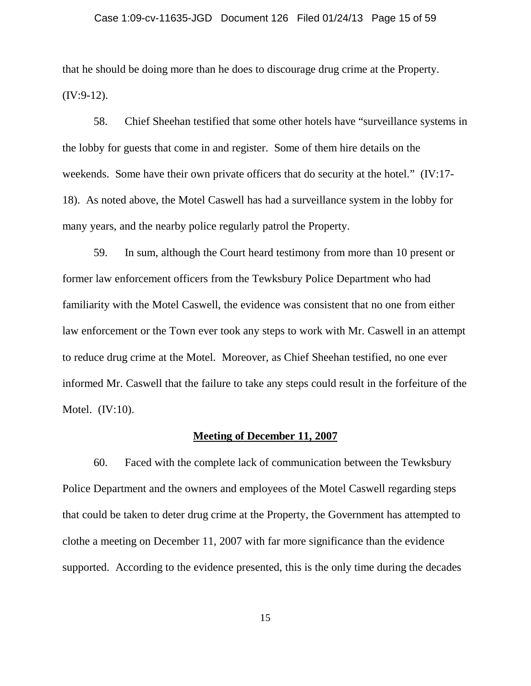#### Case 1:09-cv-11635-JGD Document 126 Filed 01/24/13 Page 15 of 59

that he should be doing more than he does to discourage drug crime at the Property. (IV:9-12).

58. Chief Sheehan testified that some other hotels have "surveillance systems in the lobby for guests that come in and register. Some of them hire details on the weekends. Some have their own private officers that do security at the hotel." (IV:17- 18). As noted above, the Motel Caswell has had a surveillance system in the lobby for many years, and the nearby police regularly patrol the Property.

59. In sum, although the Court heard testimony from more than 10 present or former law enforcement officers from the Tewksbury Police Department who had familiarity with the Motel Caswell, the evidence was consistent that no one from either law enforcement or the Town ever took any steps to work with Mr. Caswell in an attempt to reduce drug crime at the Motel. Moreover, as Chief Sheehan testified, no one ever informed Mr. Caswell that the failure to take any steps could result in the forfeiture of the Motel. (IV:10).

#### **Meeting of December 11, 2007**

60. Faced with the complete lack of communication between the Tewksbury Police Department and the owners and employees of the Motel Caswell regarding steps that could be taken to deter drug crime at the Property, the Government has attempted to clothe a meeting on December 11, 2007 with far more significance than the evidence supported. According to the evidence presented, this is the only time during the decades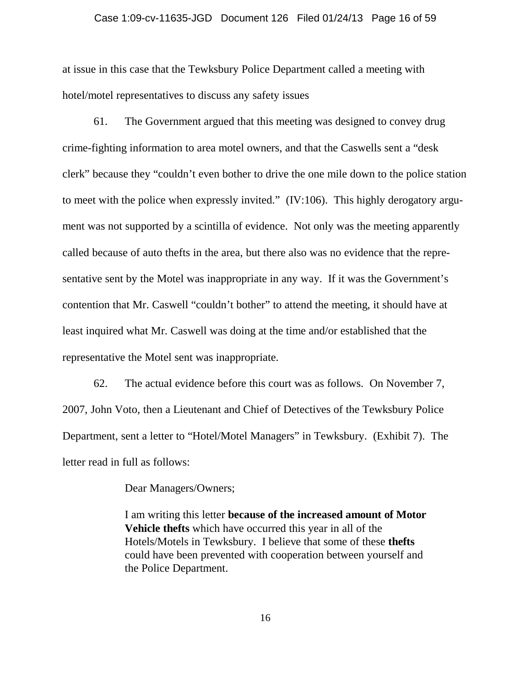#### Case 1:09-cv-11635-JGD Document 126 Filed 01/24/13 Page 16 of 59

at issue in this case that the Tewksbury Police Department called a meeting with hotel/motel representatives to discuss any safety issues

61. The Government argued that this meeting was designed to convey drug crime-fighting information to area motel owners, and that the Caswells sent a "desk clerk" because they "couldn't even bother to drive the one mile down to the police station to meet with the police when expressly invited." (IV:106). This highly derogatory argument was not supported by a scintilla of evidence. Not only was the meeting apparently called because of auto thefts in the area, but there also was no evidence that the representative sent by the Motel was inappropriate in any way. If it was the Government's contention that Mr. Caswell "couldn't bother" to attend the meeting, it should have at least inquired what Mr. Caswell was doing at the time and/or established that the representative the Motel sent was inappropriate.

62. The actual evidence before this court was as follows. On November 7, 2007, John Voto, then a Lieutenant and Chief of Detectives of the Tewksbury Police Department, sent a letter to "Hotel/Motel Managers" in Tewksbury. (Exhibit 7). The letter read in full as follows:

Dear Managers/Owners;

I am writing this letter **because of the increased amount of Motor Vehicle thefts** which have occurred this year in all of the Hotels/Motels in Tewksbury. I believe that some of these **thefts** could have been prevented with cooperation between yourself and the Police Department.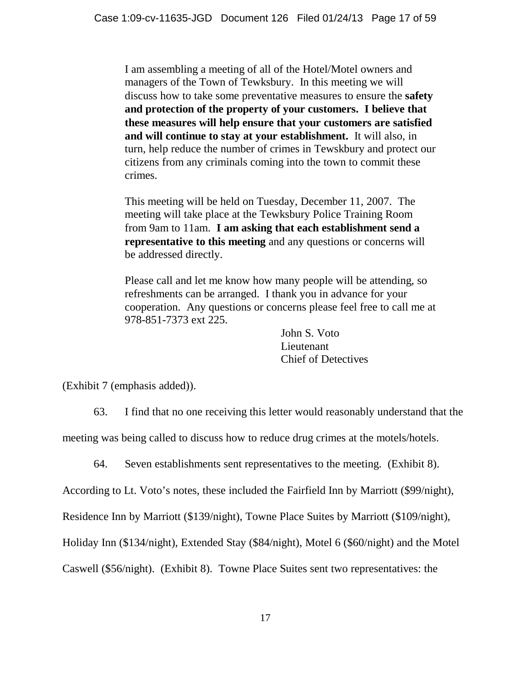I am assembling a meeting of all of the Hotel/Motel owners and managers of the Town of Tewksbury. In this meeting we will discuss how to take some preventative measures to ensure the **safety and protection of the property of your customers. I believe that these measures will help ensure that your customers are satisfied and will continue to stay at your establishment.** It will also, in turn, help reduce the number of crimes in Tewskbury and protect our citizens from any criminals coming into the town to commit these crimes.

This meeting will be held on Tuesday, December 11, 2007. The meeting will take place at the Tewksbury Police Training Room from 9am to 11am. **I am asking that each establishment send a representative to this meeting** and any questions or concerns will be addressed directly.

Please call and let me know how many people will be attending, so refreshments can be arranged. I thank you in advance for your cooperation. Any questions or concerns please feel free to call me at 978-851-7373 ext 225.

> John S. Voto Lieutenant Chief of Detectives

(Exhibit 7 (emphasis added)).

63. I find that no one receiving this letter would reasonably understand that the

meeting was being called to discuss how to reduce drug crimes at the motels/hotels.

64. Seven establishments sent representatives to the meeting. (Exhibit 8).

According to Lt. Voto's notes, these included the Fairfield Inn by Marriott (\$99/night),

Residence Inn by Marriott (\$139/night), Towne Place Suites by Marriott (\$109/night),

Holiday Inn (\$134/night), Extended Stay (\$84/night), Motel 6 (\$60/night) and the Motel

Caswell (\$56/night). (Exhibit 8). Towne Place Suites sent two representatives: the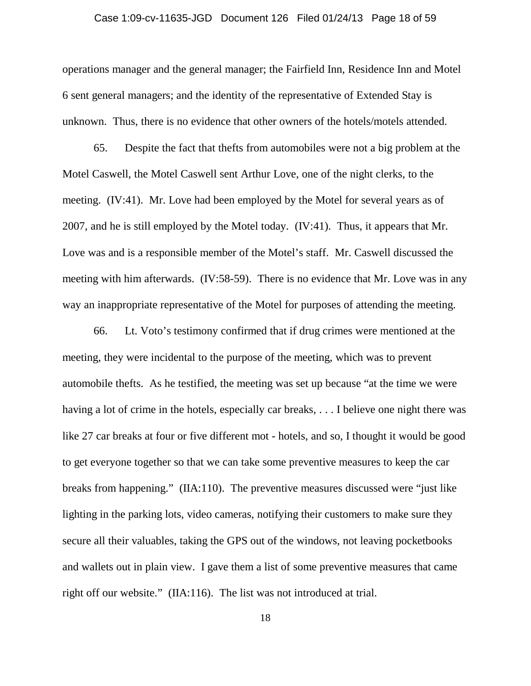#### Case 1:09-cv-11635-JGD Document 126 Filed 01/24/13 Page 18 of 59

operations manager and the general manager; the Fairfield Inn, Residence Inn and Motel 6 sent general managers; and the identity of the representative of Extended Stay is unknown. Thus, there is no evidence that other owners of the hotels/motels attended.

65. Despite the fact that thefts from automobiles were not a big problem at the Motel Caswell, the Motel Caswell sent Arthur Love, one of the night clerks, to the meeting. (IV:41). Mr. Love had been employed by the Motel for several years as of 2007, and he is still employed by the Motel today. (IV:41). Thus, it appears that Mr. Love was and is a responsible member of the Motel's staff. Mr. Caswell discussed the meeting with him afterwards. (IV:58-59). There is no evidence that Mr. Love was in any way an inappropriate representative of the Motel for purposes of attending the meeting.

66. Lt. Voto's testimony confirmed that if drug crimes were mentioned at the meeting, they were incidental to the purpose of the meeting, which was to prevent automobile thefts. As he testified, the meeting was set up because "at the time we were having a lot of crime in the hotels, especially car breaks, ... I believe one night there was like 27 car breaks at four or five different mot - hotels, and so, I thought it would be good to get everyone together so that we can take some preventive measures to keep the car breaks from happening." (IIA:110). The preventive measures discussed were "just like lighting in the parking lots, video cameras, notifying their customers to make sure they secure all their valuables, taking the GPS out of the windows, not leaving pocketbooks and wallets out in plain view. I gave them a list of some preventive measures that came right off our website." (IIA:116). The list was not introduced at trial.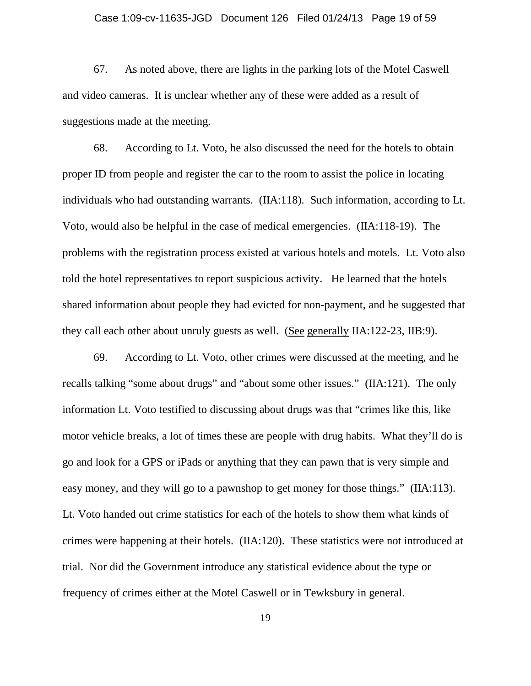#### Case 1:09-cv-11635-JGD Document 126 Filed 01/24/13 Page 19 of 59

67. As noted above, there are lights in the parking lots of the Motel Caswell and video cameras. It is unclear whether any of these were added as a result of suggestions made at the meeting.

68. According to Lt. Voto, he also discussed the need for the hotels to obtain proper ID from people and register the car to the room to assist the police in locating individuals who had outstanding warrants. (IIA:118). Such information, according to Lt. Voto, would also be helpful in the case of medical emergencies. (IIA:118-19). The problems with the registration process existed at various hotels and motels. Lt. Voto also told the hotel representatives to report suspicious activity. He learned that the hotels shared information about people they had evicted for non-payment, and he suggested that they call each other about unruly guests as well. (See generally IIA:122-23, IIB:9).

69. According to Lt. Voto, other crimes were discussed at the meeting, and he recalls talking "some about drugs" and "about some other issues." (IIA:121). The only information Lt. Voto testified to discussing about drugs was that "crimes like this, like motor vehicle breaks, a lot of times these are people with drug habits. What they'll do is go and look for a GPS or iPads or anything that they can pawn that is very simple and easy money, and they will go to a pawnshop to get money for those things." (IIA:113). Lt. Voto handed out crime statistics for each of the hotels to show them what kinds of crimes were happening at their hotels. (IIA:120). These statistics were not introduced at trial. Nor did the Government introduce any statistical evidence about the type or frequency of crimes either at the Motel Caswell or in Tewksbury in general.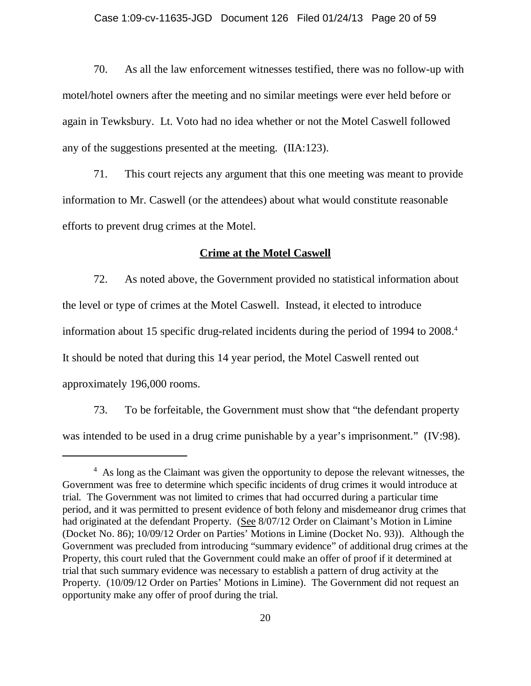70. As all the law enforcement witnesses testified, there was no follow-up with motel/hotel owners after the meeting and no similar meetings were ever held before or again in Tewksbury. Lt. Voto had no idea whether or not the Motel Caswell followed any of the suggestions presented at the meeting. (IIA:123).

71. This court rejects any argument that this one meeting was meant to provide information to Mr. Caswell (or the attendees) about what would constitute reasonable efforts to prevent drug crimes at the Motel.

## **Crime at the Motel Caswell**

72. As noted above, the Government provided no statistical information about the level or type of crimes at the Motel Caswell. Instead, it elected to introduce information about 15 specific drug-related incidents during the period of 1994 to 2008.<sup>4</sup> It should be noted that during this 14 year period, the Motel Caswell rented out approximately 196,000 rooms.

73. To be forfeitable, the Government must show that "the defendant property was intended to be used in a drug crime punishable by a year's imprisonment." (IV:98).

<sup>&</sup>lt;sup>4</sup> As long as the Claimant was given the opportunity to depose the relevant witnesses, the Government was free to determine which specific incidents of drug crimes it would introduce at trial. The Government was not limited to crimes that had occurred during a particular time period, and it was permitted to present evidence of both felony and misdemeanor drug crimes that had originated at the defendant Property. (See 8/07/12 Order on Claimant's Motion in Limine (Docket No. 86); 10/09/12 Order on Parties' Motions in Limine (Docket No. 93)). Although the Government was precluded from introducing "summary evidence" of additional drug crimes at the Property, this court ruled that the Government could make an offer of proof if it determined at trial that such summary evidence was necessary to establish a pattern of drug activity at the Property. (10/09/12 Order on Parties' Motions in Limine). The Government did not request an opportunity make any offer of proof during the trial.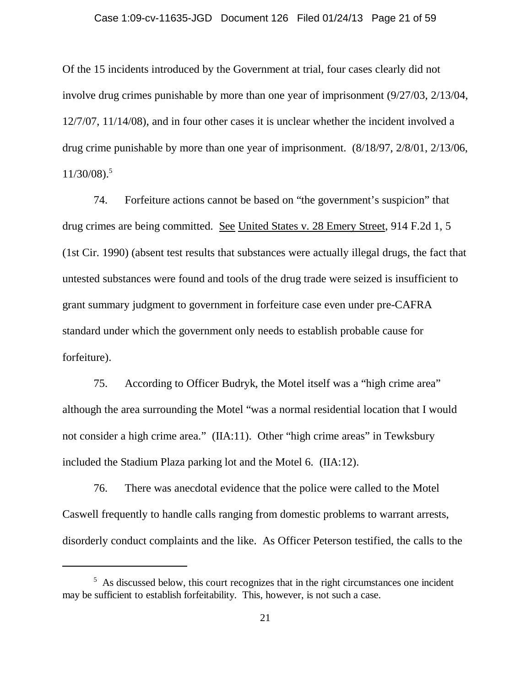Of the 15 incidents introduced by the Government at trial, four cases clearly did not involve drug crimes punishable by more than one year of imprisonment (9/27/03, 2/13/04, 12/7/07, 11/14/08), and in four other cases it is unclear whether the incident involved a drug crime punishable by more than one year of imprisonment. (8/18/97, 2/8/01, 2/13/06,  $11/30/08$ .<sup>5</sup>

74. Forfeiture actions cannot be based on "the government's suspicion" that drug crimes are being committed. See United States v. 28 Emery Street, 914 F.2d 1, 5 (1st Cir. 1990) (absent test results that substances were actually illegal drugs, the fact that untested substances were found and tools of the drug trade were seized is insufficient to grant summary judgment to government in forfeiture case even under pre-CAFRA standard under which the government only needs to establish probable cause for forfeiture).

75. According to Officer Budryk, the Motel itself was a "high crime area" although the area surrounding the Motel "was a normal residential location that I would not consider a high crime area." (IIA:11). Other "high crime areas" in Tewksbury included the Stadium Plaza parking lot and the Motel 6. (IIA:12).

76. There was anecdotal evidence that the police were called to the Motel Caswell frequently to handle calls ranging from domestic problems to warrant arrests, disorderly conduct complaints and the like. As Officer Peterson testified, the calls to the

<sup>&</sup>lt;sup>5</sup> As discussed below, this court recognizes that in the right circumstances one incident may be sufficient to establish forfeitability. This, however, is not such a case.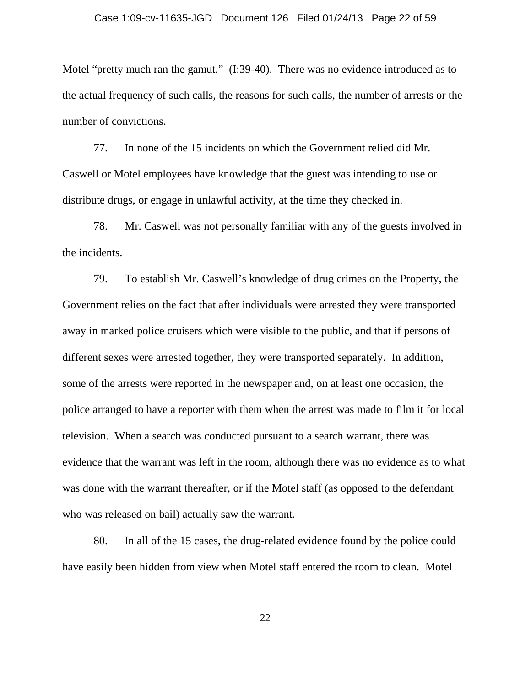Motel "pretty much ran the gamut." (I:39-40). There was no evidence introduced as to the actual frequency of such calls, the reasons for such calls, the number of arrests or the number of convictions.

77. In none of the 15 incidents on which the Government relied did Mr. Caswell or Motel employees have knowledge that the guest was intending to use or distribute drugs, or engage in unlawful activity, at the time they checked in.

78. Mr. Caswell was not personally familiar with any of the guests involved in the incidents.

79. To establish Mr. Caswell's knowledge of drug crimes on the Property, the Government relies on the fact that after individuals were arrested they were transported away in marked police cruisers which were visible to the public, and that if persons of different sexes were arrested together, they were transported separately. In addition, some of the arrests were reported in the newspaper and, on at least one occasion, the police arranged to have a reporter with them when the arrest was made to film it for local television. When a search was conducted pursuant to a search warrant, there was evidence that the warrant was left in the room, although there was no evidence as to what was done with the warrant thereafter, or if the Motel staff (as opposed to the defendant who was released on bail) actually saw the warrant.

80. In all of the 15 cases, the drug-related evidence found by the police could have easily been hidden from view when Motel staff entered the room to clean. Motel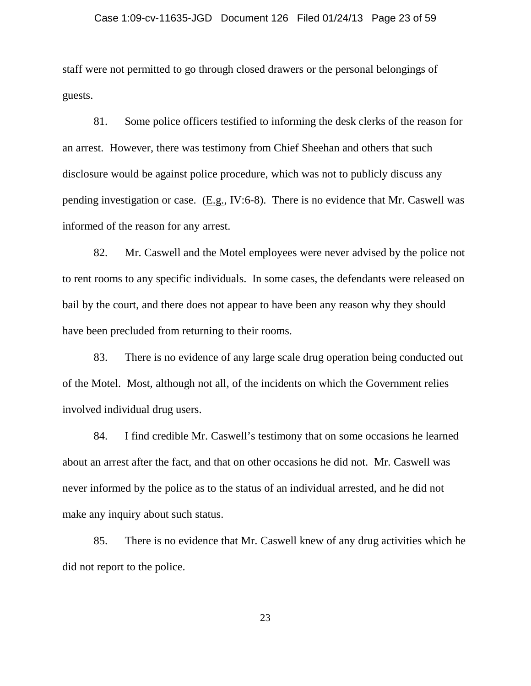staff were not permitted to go through closed drawers or the personal belongings of guests.

81. Some police officers testified to informing the desk clerks of the reason for an arrest. However, there was testimony from Chief Sheehan and others that such disclosure would be against police procedure, which was not to publicly discuss any pending investigation or case. (E.g., IV:6-8). There is no evidence that Mr. Caswell was informed of the reason for any arrest.

82. Mr. Caswell and the Motel employees were never advised by the police not to rent rooms to any specific individuals. In some cases, the defendants were released on bail by the court, and there does not appear to have been any reason why they should have been precluded from returning to their rooms.

83. There is no evidence of any large scale drug operation being conducted out of the Motel. Most, although not all, of the incidents on which the Government relies involved individual drug users.

84. I find credible Mr. Caswell's testimony that on some occasions he learned about an arrest after the fact, and that on other occasions he did not. Mr. Caswell was never informed by the police as to the status of an individual arrested, and he did not make any inquiry about such status.

85. There is no evidence that Mr. Caswell knew of any drug activities which he did not report to the police.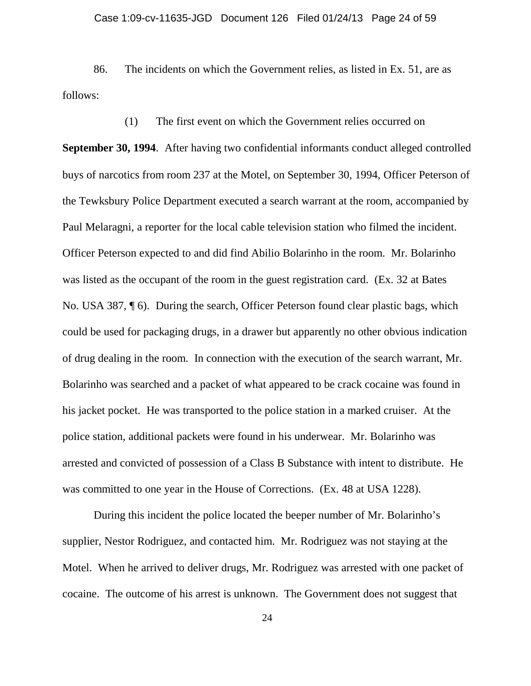86. The incidents on which the Government relies, as listed in Ex. 51, are as follows:

(1) The first event on which the Government relies occurred on **September 30, 1994**. After having two confidential informants conduct alleged controlled buys of narcotics from room 237 at the Motel, on September 30, 1994, Officer Peterson of the Tewksbury Police Department executed a search warrant at the room, accompanied by Paul Melaragni, a reporter for the local cable television station who filmed the incident. Officer Peterson expected to and did find Abilio Bolarinho in the room. Mr. Bolarinho was listed as the occupant of the room in the guest registration card. (Ex. 32 at Bates No. USA 387, ¶ 6). During the search, Officer Peterson found clear plastic bags, which could be used for packaging drugs, in a drawer but apparently no other obvious indication of drug dealing in the room. In connection with the execution of the search warrant, Mr. Bolarinho was searched and a packet of what appeared to be crack cocaine was found in his jacket pocket. He was transported to the police station in a marked cruiser. At the police station, additional packets were found in his underwear. Mr. Bolarinho was arrested and convicted of possession of a Class B Substance with intent to distribute. He was committed to one year in the House of Corrections. (Ex. 48 at USA 1228).

During this incident the police located the beeper number of Mr. Bolarinho's supplier, Nestor Rodriguez, and contacted him. Mr. Rodriguez was not staying at the Motel. When he arrived to deliver drugs, Mr. Rodriguez was arrested with one packet of cocaine. The outcome of his arrest is unknown. The Government does not suggest that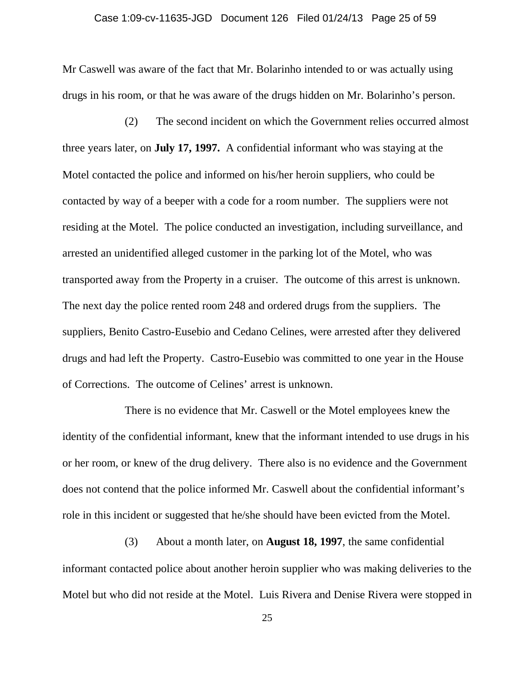#### Case 1:09-cv-11635-JGD Document 126 Filed 01/24/13 Page 25 of 59

Mr Caswell was aware of the fact that Mr. Bolarinho intended to or was actually using drugs in his room, or that he was aware of the drugs hidden on Mr. Bolarinho's person.

(2) The second incident on which the Government relies occurred almost three years later, on **July 17, 1997.** A confidential informant who was staying at the Motel contacted the police and informed on his/her heroin suppliers, who could be contacted by way of a beeper with a code for a room number. The suppliers were not residing at the Motel. The police conducted an investigation, including surveillance, and arrested an unidentified alleged customer in the parking lot of the Motel, who was transported away from the Property in a cruiser. The outcome of this arrest is unknown. The next day the police rented room 248 and ordered drugs from the suppliers. The suppliers, Benito Castro-Eusebio and Cedano Celines, were arrested after they delivered drugs and had left the Property. Castro-Eusebio was committed to one year in the House of Corrections. The outcome of Celines' arrest is unknown.

There is no evidence that Mr. Caswell or the Motel employees knew the identity of the confidential informant, knew that the informant intended to use drugs in his or her room, or knew of the drug delivery. There also is no evidence and the Government does not contend that the police informed Mr. Caswell about the confidential informant's role in this incident or suggested that he/she should have been evicted from the Motel.

(3) About a month later, on **August 18, 1997**, the same confidential informant contacted police about another heroin supplier who was making deliveries to the Motel but who did not reside at the Motel. Luis Rivera and Denise Rivera were stopped in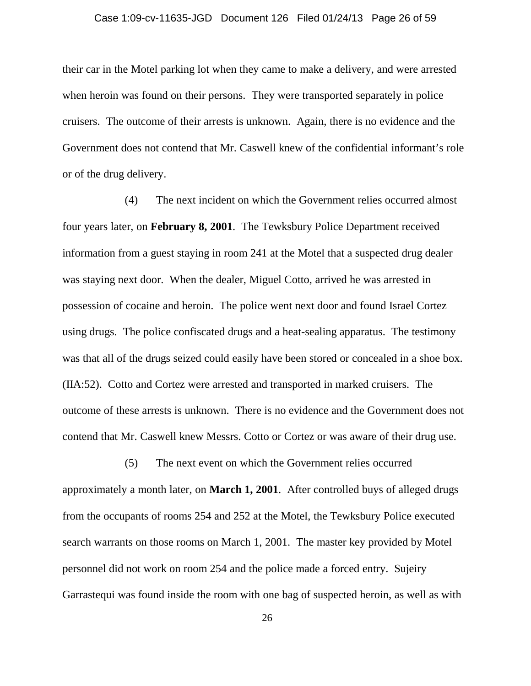## Case 1:09-cv-11635-JGD Document 126 Filed 01/24/13 Page 26 of 59

their car in the Motel parking lot when they came to make a delivery, and were arrested when heroin was found on their persons. They were transported separately in police cruisers. The outcome of their arrests is unknown. Again, there is no evidence and the Government does not contend that Mr. Caswell knew of the confidential informant's role or of the drug delivery.

(4) The next incident on which the Government relies occurred almost four years later, on **February 8, 2001**. The Tewksbury Police Department received information from a guest staying in room 241 at the Motel that a suspected drug dealer was staying next door. When the dealer, Miguel Cotto, arrived he was arrested in possession of cocaine and heroin. The police went next door and found Israel Cortez using drugs. The police confiscated drugs and a heat-sealing apparatus. The testimony was that all of the drugs seized could easily have been stored or concealed in a shoe box. (IIA:52). Cotto and Cortez were arrested and transported in marked cruisers. The outcome of these arrests is unknown. There is no evidence and the Government does not contend that Mr. Caswell knew Messrs. Cotto or Cortez or was aware of their drug use.

(5) The next event on which the Government relies occurred approximately a month later, on **March 1, 2001**. After controlled buys of alleged drugs from the occupants of rooms 254 and 252 at the Motel, the Tewksbury Police executed search warrants on those rooms on March 1, 2001. The master key provided by Motel personnel did not work on room 254 and the police made a forced entry. Sujeiry Garrastequi was found inside the room with one bag of suspected heroin, as well as with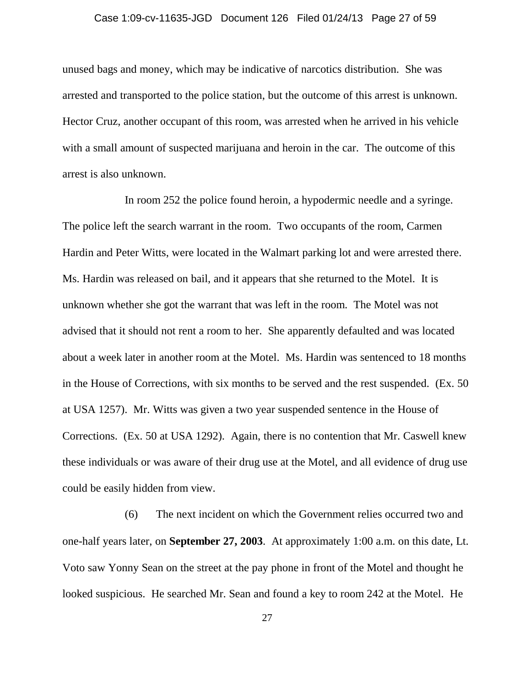## Case 1:09-cv-11635-JGD Document 126 Filed 01/24/13 Page 27 of 59

unused bags and money, which may be indicative of narcotics distribution. She was arrested and transported to the police station, but the outcome of this arrest is unknown. Hector Cruz, another occupant of this room, was arrested when he arrived in his vehicle with a small amount of suspected marijuana and heroin in the car. The outcome of this arrest is also unknown.

In room 252 the police found heroin, a hypodermic needle and a syringe. The police left the search warrant in the room. Two occupants of the room, Carmen Hardin and Peter Witts, were located in the Walmart parking lot and were arrested there. Ms. Hardin was released on bail, and it appears that she returned to the Motel. It is unknown whether she got the warrant that was left in the room. The Motel was not advised that it should not rent a room to her. She apparently defaulted and was located about a week later in another room at the Motel. Ms. Hardin was sentenced to 18 months in the House of Corrections, with six months to be served and the rest suspended. (Ex. 50 at USA 1257). Mr. Witts was given a two year suspended sentence in the House of Corrections. (Ex. 50 at USA 1292). Again, there is no contention that Mr. Caswell knew these individuals or was aware of their drug use at the Motel, and all evidence of drug use could be easily hidden from view.

(6) The next incident on which the Government relies occurred two and one-half years later, on **September 27, 2003**. At approximately 1:00 a.m. on this date, Lt. Voto saw Yonny Sean on the street at the pay phone in front of the Motel and thought he looked suspicious. He searched Mr. Sean and found a key to room 242 at the Motel. He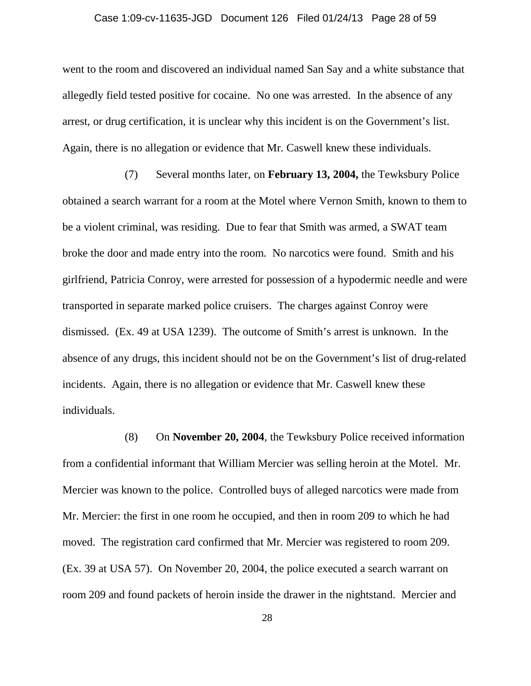#### Case 1:09-cv-11635-JGD Document 126 Filed 01/24/13 Page 28 of 59

went to the room and discovered an individual named San Say and a white substance that allegedly field tested positive for cocaine. No one was arrested. In the absence of any arrest, or drug certification, it is unclear why this incident is on the Government's list. Again, there is no allegation or evidence that Mr. Caswell knew these individuals.

(7) Several months later, on **February 13, 2004,** the Tewksbury Police obtained a search warrant for a room at the Motel where Vernon Smith, known to them to be a violent criminal, was residing. Due to fear that Smith was armed, a SWAT team broke the door and made entry into the room. No narcotics were found. Smith and his girlfriend, Patricia Conroy, were arrested for possession of a hypodermic needle and were transported in separate marked police cruisers. The charges against Conroy were dismissed. (Ex. 49 at USA 1239). The outcome of Smith's arrest is unknown. In the absence of any drugs, this incident should not be on the Government's list of drug-related incidents. Again, there is no allegation or evidence that Mr. Caswell knew these individuals.

(8) On **November 20, 2004**, the Tewksbury Police received information from a confidential informant that William Mercier was selling heroin at the Motel. Mr. Mercier was known to the police. Controlled buys of alleged narcotics were made from Mr. Mercier: the first in one room he occupied, and then in room 209 to which he had moved. The registration card confirmed that Mr. Mercier was registered to room 209. (Ex. 39 at USA 57). On November 20, 2004, the police executed a search warrant on room 209 and found packets of heroin inside the drawer in the nightstand. Mercier and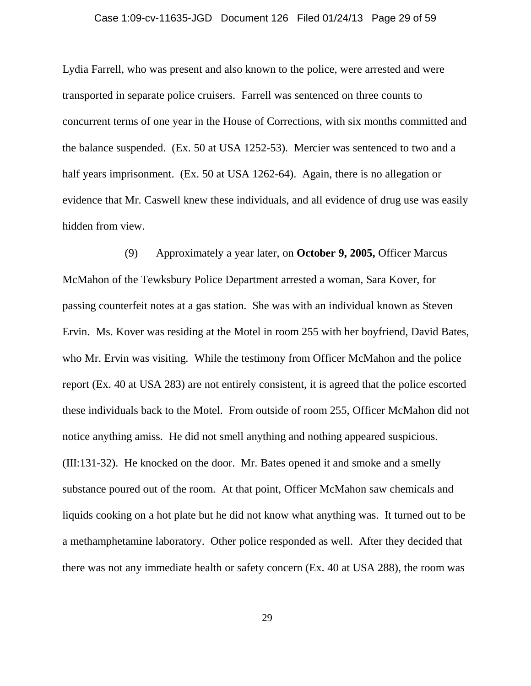#### Case 1:09-cv-11635-JGD Document 126 Filed 01/24/13 Page 29 of 59

Lydia Farrell, who was present and also known to the police, were arrested and were transported in separate police cruisers. Farrell was sentenced on three counts to concurrent terms of one year in the House of Corrections, with six months committed and the balance suspended. (Ex. 50 at USA 1252-53). Mercier was sentenced to two and a half years imprisonment. (Ex. 50 at USA 1262-64). Again, there is no allegation or evidence that Mr. Caswell knew these individuals, and all evidence of drug use was easily hidden from view.

(9) Approximately a year later, on **October 9, 2005,** Officer Marcus McMahon of the Tewksbury Police Department arrested a woman, Sara Kover, for passing counterfeit notes at a gas station. She was with an individual known as Steven Ervin. Ms. Kover was residing at the Motel in room 255 with her boyfriend, David Bates, who Mr. Ervin was visiting. While the testimony from Officer McMahon and the police report (Ex. 40 at USA 283) are not entirely consistent, it is agreed that the police escorted these individuals back to the Motel. From outside of room 255, Officer McMahon did not notice anything amiss. He did not smell anything and nothing appeared suspicious. (III:131-32). He knocked on the door. Mr. Bates opened it and smoke and a smelly substance poured out of the room. At that point, Officer McMahon saw chemicals and liquids cooking on a hot plate but he did not know what anything was. It turned out to be a methamphetamine laboratory. Other police responded as well. After they decided that there was not any immediate health or safety concern (Ex. 40 at USA 288), the room was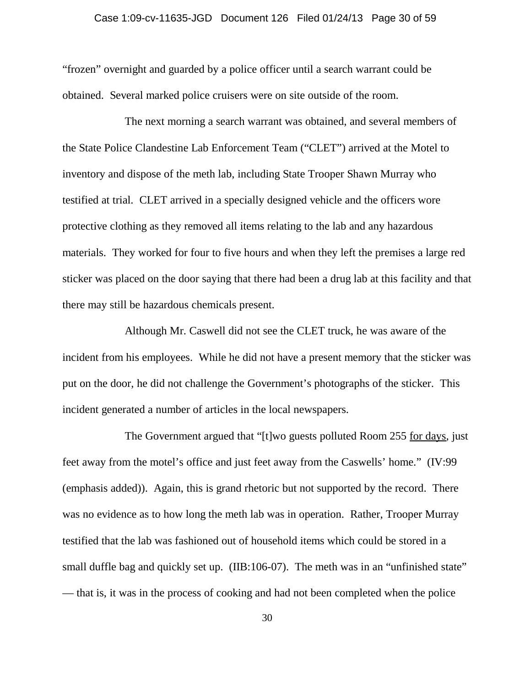#### Case 1:09-cv-11635-JGD Document 126 Filed 01/24/13 Page 30 of 59

"frozen" overnight and guarded by a police officer until a search warrant could be obtained. Several marked police cruisers were on site outside of the room.

The next morning a search warrant was obtained, and several members of the State Police Clandestine Lab Enforcement Team ("CLET") arrived at the Motel to inventory and dispose of the meth lab, including State Trooper Shawn Murray who testified at trial. CLET arrived in a specially designed vehicle and the officers wore protective clothing as they removed all items relating to the lab and any hazardous materials. They worked for four to five hours and when they left the premises a large red sticker was placed on the door saying that there had been a drug lab at this facility and that there may still be hazardous chemicals present.

Although Mr. Caswell did not see the CLET truck, he was aware of the incident from his employees. While he did not have a present memory that the sticker was put on the door, he did not challenge the Government's photographs of the sticker. This incident generated a number of articles in the local newspapers.

The Government argued that "[t]wo guests polluted Room 255 for days, just feet away from the motel's office and just feet away from the Caswells' home." (IV:99 (emphasis added)). Again, this is grand rhetoric but not supported by the record. There was no evidence as to how long the meth lab was in operation. Rather, Trooper Murray testified that the lab was fashioned out of household items which could be stored in a small duffle bag and quickly set up. (IIB:106-07). The meth was in an "unfinished state" — that is, it was in the process of cooking and had not been completed when the police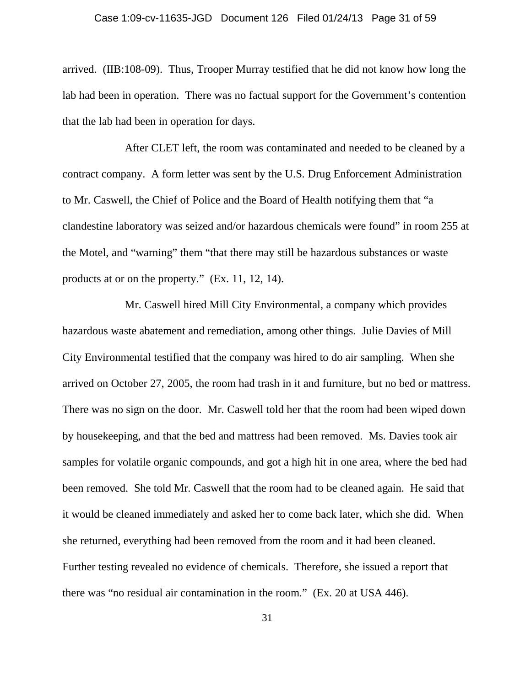#### Case 1:09-cv-11635-JGD Document 126 Filed 01/24/13 Page 31 of 59

arrived. (IIB:108-09). Thus, Trooper Murray testified that he did not know how long the lab had been in operation. There was no factual support for the Government's contention that the lab had been in operation for days.

After CLET left, the room was contaminated and needed to be cleaned by a contract company. A form letter was sent by the U.S. Drug Enforcement Administration to Mr. Caswell, the Chief of Police and the Board of Health notifying them that "a clandestine laboratory was seized and/or hazardous chemicals were found" in room 255 at the Motel, and "warning" them "that there may still be hazardous substances or waste products at or on the property." (Ex. 11, 12, 14).

Mr. Caswell hired Mill City Environmental, a company which provides hazardous waste abatement and remediation, among other things. Julie Davies of Mill City Environmental testified that the company was hired to do air sampling. When she arrived on October 27, 2005, the room had trash in it and furniture, but no bed or mattress. There was no sign on the door. Mr. Caswell told her that the room had been wiped down by housekeeping, and that the bed and mattress had been removed. Ms. Davies took air samples for volatile organic compounds, and got a high hit in one area, where the bed had been removed. She told Mr. Caswell that the room had to be cleaned again. He said that it would be cleaned immediately and asked her to come back later, which she did. When she returned, everything had been removed from the room and it had been cleaned. Further testing revealed no evidence of chemicals. Therefore, she issued a report that there was "no residual air contamination in the room." (Ex. 20 at USA 446).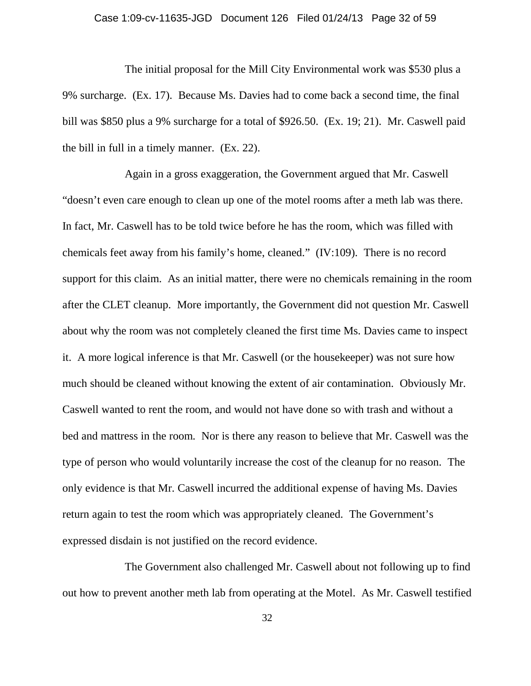#### Case 1:09-cv-11635-JGD Document 126 Filed 01/24/13 Page 32 of 59

The initial proposal for the Mill City Environmental work was \$530 plus a 9% surcharge. (Ex. 17). Because Ms. Davies had to come back a second time, the final bill was \$850 plus a 9% surcharge for a total of \$926.50. (Ex. 19; 21). Mr. Caswell paid the bill in full in a timely manner. (Ex. 22).

Again in a gross exaggeration, the Government argued that Mr. Caswell "doesn't even care enough to clean up one of the motel rooms after a meth lab was there. In fact, Mr. Caswell has to be told twice before he has the room, which was filled with chemicals feet away from his family's home, cleaned." (IV:109). There is no record support for this claim. As an initial matter, there were no chemicals remaining in the room after the CLET cleanup. More importantly, the Government did not question Mr. Caswell about why the room was not completely cleaned the first time Ms. Davies came to inspect it. A more logical inference is that Mr. Caswell (or the housekeeper) was not sure how much should be cleaned without knowing the extent of air contamination. Obviously Mr. Caswell wanted to rent the room, and would not have done so with trash and without a bed and mattress in the room. Nor is there any reason to believe that Mr. Caswell was the type of person who would voluntarily increase the cost of the cleanup for no reason. The only evidence is that Mr. Caswell incurred the additional expense of having Ms. Davies return again to test the room which was appropriately cleaned. The Government's expressed disdain is not justified on the record evidence.

The Government also challenged Mr. Caswell about not following up to find out how to prevent another meth lab from operating at the Motel. As Mr. Caswell testified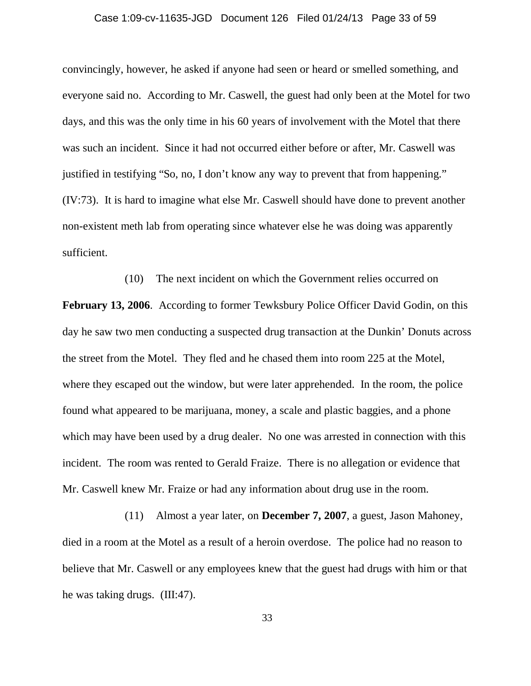#### Case 1:09-cv-11635-JGD Document 126 Filed 01/24/13 Page 33 of 59

convincingly, however, he asked if anyone had seen or heard or smelled something, and everyone said no. According to Mr. Caswell, the guest had only been at the Motel for two days, and this was the only time in his 60 years of involvement with the Motel that there was such an incident. Since it had not occurred either before or after, Mr. Caswell was justified in testifying "So, no, I don't know any way to prevent that from happening." (IV:73). It is hard to imagine what else Mr. Caswell should have done to prevent another non-existent meth lab from operating since whatever else he was doing was apparently sufficient.

(10) The next incident on which the Government relies occurred on **February 13, 2006**. According to former Tewksbury Police Officer David Godin, on this day he saw two men conducting a suspected drug transaction at the Dunkin' Donuts across the street from the Motel. They fled and he chased them into room 225 at the Motel, where they escaped out the window, but were later apprehended. In the room, the police found what appeared to be marijuana, money, a scale and plastic baggies, and a phone which may have been used by a drug dealer. No one was arrested in connection with this incident. The room was rented to Gerald Fraize. There is no allegation or evidence that Mr. Caswell knew Mr. Fraize or had any information about drug use in the room.

(11) Almost a year later, on **December 7, 2007**, a guest, Jason Mahoney, died in a room at the Motel as a result of a heroin overdose. The police had no reason to believe that Mr. Caswell or any employees knew that the guest had drugs with him or that he was taking drugs. (III:47).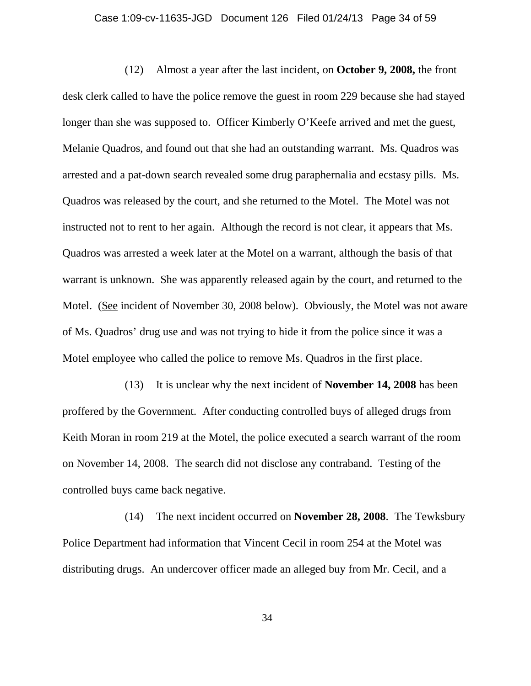#### Case 1:09-cv-11635-JGD Document 126 Filed 01/24/13 Page 34 of 59

(12) Almost a year after the last incident, on **October 9, 2008,** the front desk clerk called to have the police remove the guest in room 229 because she had stayed longer than she was supposed to. Officer Kimberly O'Keefe arrived and met the guest, Melanie Quadros, and found out that she had an outstanding warrant. Ms. Quadros was arrested and a pat-down search revealed some drug paraphernalia and ecstasy pills. Ms. Quadros was released by the court, and she returned to the Motel. The Motel was not instructed not to rent to her again. Although the record is not clear, it appears that Ms. Quadros was arrested a week later at the Motel on a warrant, although the basis of that warrant is unknown. She was apparently released again by the court, and returned to the Motel. (See incident of November 30, 2008 below). Obviously, the Motel was not aware of Ms. Quadros' drug use and was not trying to hide it from the police since it was a Motel employee who called the police to remove Ms. Quadros in the first place.

(13) It is unclear why the next incident of **November 14, 2008** has been proffered by the Government. After conducting controlled buys of alleged drugs from Keith Moran in room 219 at the Motel, the police executed a search warrant of the room on November 14, 2008. The search did not disclose any contraband. Testing of the controlled buys came back negative.

(14) The next incident occurred on **November 28, 2008**. The Tewksbury Police Department had information that Vincent Cecil in room 254 at the Motel was distributing drugs. An undercover officer made an alleged buy from Mr. Cecil, and a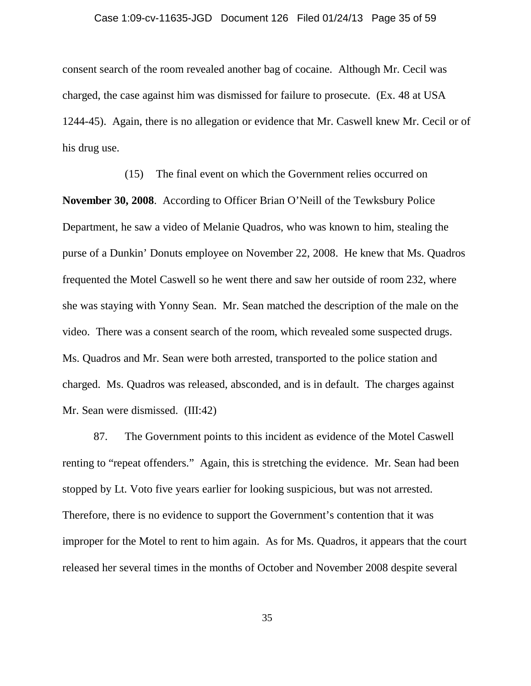#### Case 1:09-cv-11635-JGD Document 126 Filed 01/24/13 Page 35 of 59

consent search of the room revealed another bag of cocaine. Although Mr. Cecil was charged, the case against him was dismissed for failure to prosecute. (Ex. 48 at USA 1244-45). Again, there is no allegation or evidence that Mr. Caswell knew Mr. Cecil or of his drug use.

(15) The final event on which the Government relies occurred on **November 30, 2008**. According to Officer Brian O'Neill of the Tewksbury Police Department, he saw a video of Melanie Quadros, who was known to him, stealing the purse of a Dunkin' Donuts employee on November 22, 2008. He knew that Ms. Quadros frequented the Motel Caswell so he went there and saw her outside of room 232, where she was staying with Yonny Sean. Mr. Sean matched the description of the male on the video. There was a consent search of the room, which revealed some suspected drugs. Ms. Quadros and Mr. Sean were both arrested, transported to the police station and charged. Ms. Quadros was released, absconded, and is in default. The charges against Mr. Sean were dismissed. (III:42)

87. The Government points to this incident as evidence of the Motel Caswell renting to "repeat offenders." Again, this is stretching the evidence. Mr. Sean had been stopped by Lt. Voto five years earlier for looking suspicious, but was not arrested. Therefore, there is no evidence to support the Government's contention that it was improper for the Motel to rent to him again. As for Ms. Quadros, it appears that the court released her several times in the months of October and November 2008 despite several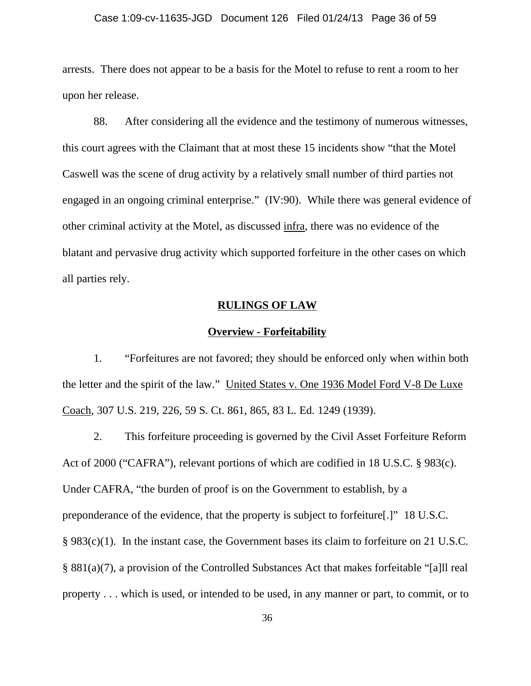## Case 1:09-cv-11635-JGD Document 126 Filed 01/24/13 Page 36 of 59

arrests. There does not appear to be a basis for the Motel to refuse to rent a room to her upon her release.

88. After considering all the evidence and the testimony of numerous witnesses, this court agrees with the Claimant that at most these 15 incidents show "that the Motel Caswell was the scene of drug activity by a relatively small number of third parties not engaged in an ongoing criminal enterprise." (IV:90). While there was general evidence of other criminal activity at the Motel, as discussed infra, there was no evidence of the blatant and pervasive drug activity which supported forfeiture in the other cases on which all parties rely.

## **RULINGS OF LAW**

#### **Overview - Forfeitability**

1. "Forfeitures are not favored; they should be enforced only when within both the letter and the spirit of the law." United States v. One 1936 Model Ford V-8 De Luxe Coach, 307 U.S. 219, 226, 59 S. Ct. 861, 865, 83 L. Ed. 1249 (1939).

2. This forfeiture proceeding is governed by the Civil Asset Forfeiture Reform Act of 2000 ("CAFRA"), relevant portions of which are codified in 18 U.S.C. § 983(c). Under CAFRA, "the burden of proof is on the Government to establish, by a preponderance of the evidence, that the property is subject to forfeiture[.]" 18 U.S.C. § 983(c)(1). In the instant case, the Government bases its claim to forfeiture on 21 U.S.C. § 881(a)(7), a provision of the Controlled Substances Act that makes forfeitable "[a]ll real property . . . which is used, or intended to be used, in any manner or part, to commit, or to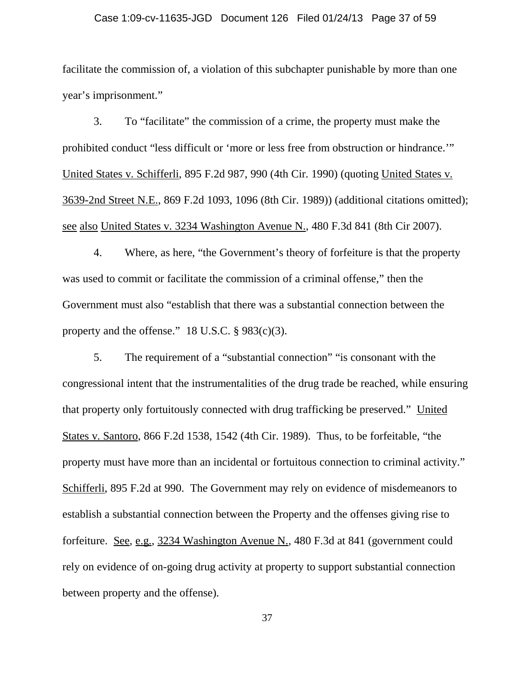#### Case 1:09-cv-11635-JGD Document 126 Filed 01/24/13 Page 37 of 59

facilitate the commission of, a violation of this subchapter punishable by more than one year's imprisonment."

3. To "facilitate" the commission of a crime, the property must make the prohibited conduct "less difficult or 'more or less free from obstruction or hindrance.'" United States v. Schifferli, 895 F.2d 987, 990 (4th Cir. 1990) (quoting United States v. 3639-2nd Street N.E., 869 F.2d 1093, 1096 (8th Cir. 1989)) (additional citations omitted); see also United States v. 3234 Washington Avenue N., 480 F.3d 841 (8th Cir 2007).

4. Where, as here, "the Government's theory of forfeiture is that the property was used to commit or facilitate the commission of a criminal offense," then the Government must also "establish that there was a substantial connection between the property and the offense."  $18$  U.S.C. § 983(c)(3).

5. The requirement of a "substantial connection" "is consonant with the congressional intent that the instrumentalities of the drug trade be reached, while ensuring that property only fortuitously connected with drug trafficking be preserved." United States v. Santoro, 866 F.2d 1538, 1542 (4th Cir. 1989). Thus, to be forfeitable, "the property must have more than an incidental or fortuitous connection to criminal activity." Schifferli, 895 F.2d at 990. The Government may rely on evidence of misdemeanors to establish a substantial connection between the Property and the offenses giving rise to forfeiture. See, e.g., 3234 Washington Avenue N., 480 F.3d at 841 (government could rely on evidence of on-going drug activity at property to support substantial connection between property and the offense).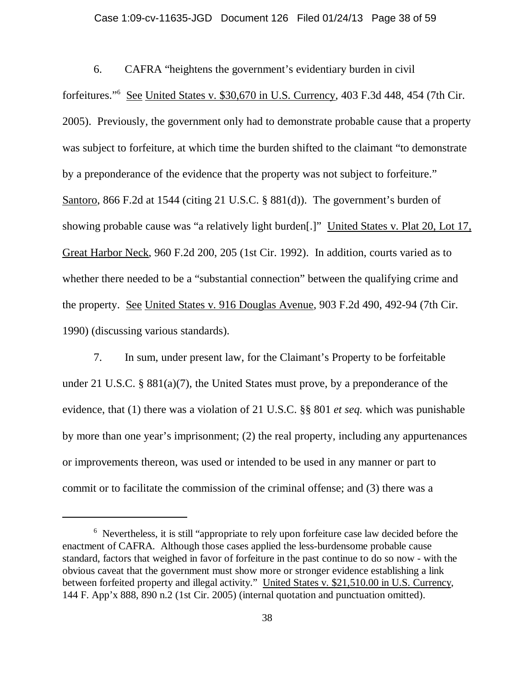#### Case 1:09-cv-11635-JGD Document 126 Filed 01/24/13 Page 38 of 59

6. CAFRA "heightens the government's evidentiary burden in civil forfeitures."<sup>6</sup> See United States v. \$30,670 in U.S. Currency, 403 F.3d 448, 454 (7th Cir. 2005). Previously, the government only had to demonstrate probable cause that a property was subject to forfeiture, at which time the burden shifted to the claimant "to demonstrate by a preponderance of the evidence that the property was not subject to forfeiture." Santoro, 866 F.2d at 1544 (citing 21 U.S.C. § 881(d)). The government's burden of showing probable cause was "a relatively light burden[.]" United States v. Plat 20, Lot 17, Great Harbor Neck, 960 F.2d 200, 205 (1st Cir. 1992). In addition, courts varied as to whether there needed to be a "substantial connection" between the qualifying crime and the property. See United States v. 916 Douglas Avenue, 903 F.2d 490, 492-94 (7th Cir. 1990) (discussing various standards).

7. In sum, under present law, for the Claimant's Property to be forfeitable under 21 U.S.C. § 881(a)(7), the United States must prove, by a preponderance of the evidence, that (1) there was a violation of 21 U.S.C. §§ 801 *et seq.* which was punishable by more than one year's imprisonment; (2) the real property, including any appurtenances or improvements thereon, was used or intended to be used in any manner or part to commit or to facilitate the commission of the criminal offense; and (3) there was a

<sup>&</sup>lt;sup>6</sup> Nevertheless, it is still "appropriate to rely upon forfeiture case law decided before the enactment of CAFRA. Although those cases applied the less-burdensome probable cause standard, factors that weighed in favor of forfeiture in the past continue to do so now - with the obvious caveat that the government must show more or stronger evidence establishing a link between forfeited property and illegal activity." United States v. \$21,510.00 in U.S. Currency, 144 F. App'x 888, 890 n.2 (1st Cir. 2005) (internal quotation and punctuation omitted).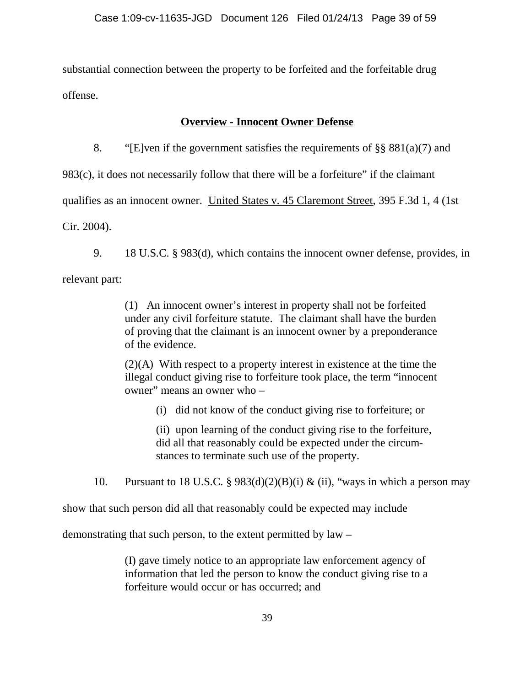substantial connection between the property to be forfeited and the forfeitable drug offense.

## **Overview - Innocent Owner Defense**

8. "[E]ven if the government satisfies the requirements of  $\S$ § 881(a)(7) and

983(c), it does not necessarily follow that there will be a forfeiture" if the claimant

qualifies as an innocent owner. United States v. 45 Claremont Street, 395 F.3d 1, 4 (1st

Cir. 2004).

9. 18 U.S.C. § 983(d), which contains the innocent owner defense, provides, in relevant part:

> (1) An innocent owner's interest in property shall not be forfeited under any civil forfeiture statute. The claimant shall have the burden of proving that the claimant is an innocent owner by a preponderance of the evidence.

> (2)(A) With respect to a property interest in existence at the time the illegal conduct giving rise to forfeiture took place, the term "innocent owner" means an owner who –

(i) did not know of the conduct giving rise to forfeiture; or

(ii) upon learning of the conduct giving rise to the forfeiture, did all that reasonably could be expected under the circumstances to terminate such use of the property.

10. Pursuant to 18 U.S.C. §  $983(d)(2)(B)(i)$  & (ii), "ways in which a person may

show that such person did all that reasonably could be expected may include

demonstrating that such person, to the extent permitted by law –

(I) gave timely notice to an appropriate law enforcement agency of information that led the person to know the conduct giving rise to a forfeiture would occur or has occurred; and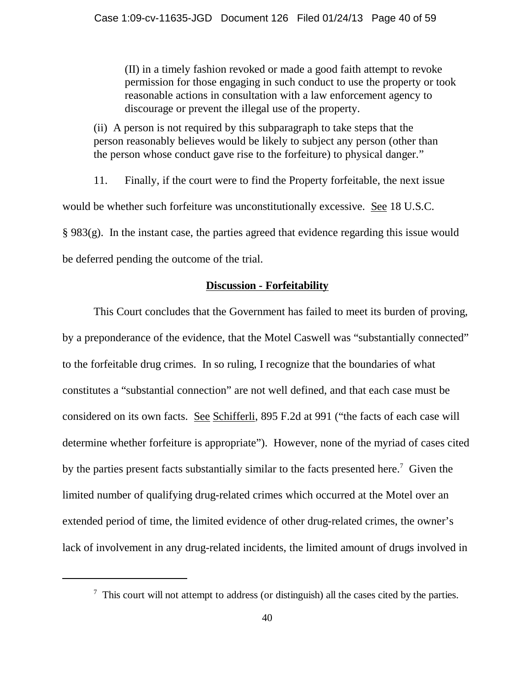(II) in a timely fashion revoked or made a good faith attempt to revoke permission for those engaging in such conduct to use the property or took reasonable actions in consultation with a law enforcement agency to discourage or prevent the illegal use of the property.

(ii) A person is not required by this subparagraph to take steps that the person reasonably believes would be likely to subject any person (other than the person whose conduct gave rise to the forfeiture) to physical danger."

11. Finally, if the court were to find the Property forfeitable, the next issue would be whether such forfeiture was unconstitutionally excessive. See 18 U.S.C. § 983(g). In the instant case, the parties agreed that evidence regarding this issue would be deferred pending the outcome of the trial.

## **Discussion - Forfeitability**

This Court concludes that the Government has failed to meet its burden of proving, by a preponderance of the evidence, that the Motel Caswell was "substantially connected" to the forfeitable drug crimes. In so ruling, I recognize that the boundaries of what constitutes a "substantial connection" are not well defined, and that each case must be considered on its own facts. See Schifferli, 895 F.2d at 991 ("the facts of each case will determine whether forfeiture is appropriate"). However, none of the myriad of cases cited by the parties present facts substantially similar to the facts presented here.<sup>7</sup> Given the limited number of qualifying drug-related crimes which occurred at the Motel over an extended period of time, the limited evidence of other drug-related crimes, the owner's lack of involvement in any drug-related incidents, the limited amount of drugs involved in

 $\frac{7}{7}$  This court will not attempt to address (or distinguish) all the cases cited by the parties.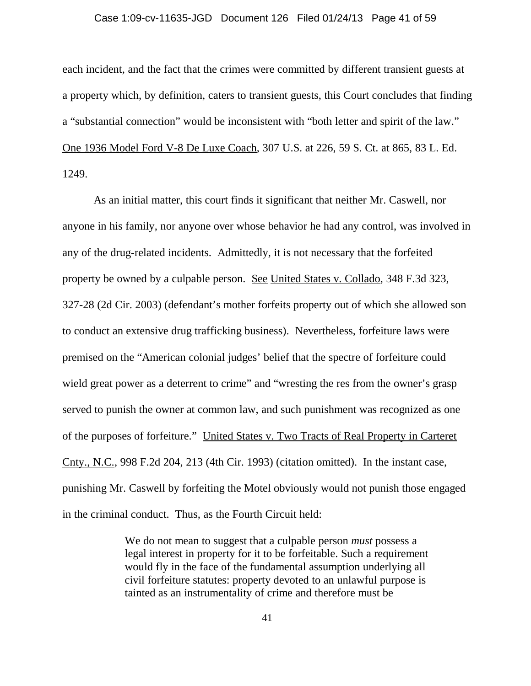#### Case 1:09-cv-11635-JGD Document 126 Filed 01/24/13 Page 41 of 59

each incident, and the fact that the crimes were committed by different transient guests at a property which, by definition, caters to transient guests, this Court concludes that finding a "substantial connection" would be inconsistent with "both letter and spirit of the law." One 1936 Model Ford V-8 De Luxe Coach, 307 U.S. at 226, 59 S. Ct. at 865, 83 L. Ed. 1249.

As an initial matter, this court finds it significant that neither Mr. Caswell, nor anyone in his family, nor anyone over whose behavior he had any control, was involved in any of the drug-related incidents. Admittedly, it is not necessary that the forfeited property be owned by a culpable person. See United States v. Collado, 348 F.3d 323, 327-28 (2d Cir. 2003) (defendant's mother forfeits property out of which she allowed son to conduct an extensive drug trafficking business). Nevertheless, forfeiture laws were premised on the "American colonial judges' belief that the spectre of forfeiture could wield great power as a deterrent to crime" and "wresting the res from the owner's grasp served to punish the owner at common law, and such punishment was recognized as one of the purposes of forfeiture." United States v. Two Tracts of Real Property in Carteret Cnty., N.C., 998 F.2d 204, 213 (4th Cir. 1993) (citation omitted). In the instant case, punishing Mr. Caswell by forfeiting the Motel obviously would not punish those engaged in the criminal conduct. Thus, as the Fourth Circuit held:

> We do not mean to suggest that a culpable person *must* possess a legal interest in property for it to be forfeitable. Such a requirement would fly in the face of the fundamental assumption underlying all civil forfeiture statutes: property devoted to an unlawful purpose is tainted as an instrumentality of crime and therefore must be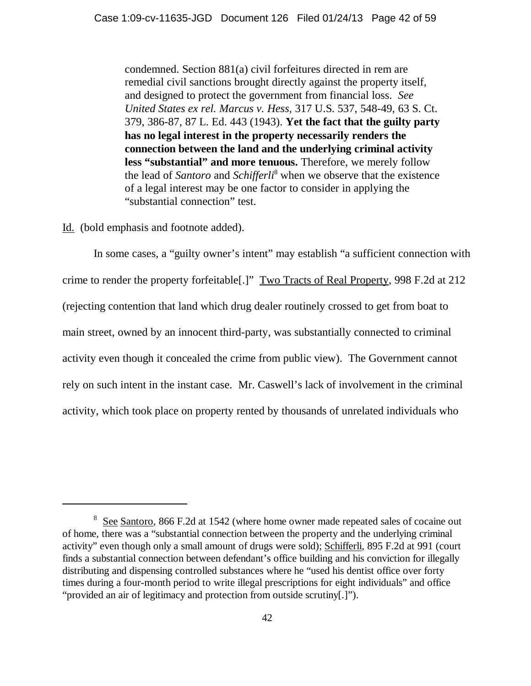condemned. Section 881(a) civil forfeitures directed in rem are remedial civil sanctions brought directly against the property itself, and designed to protect the government from financial loss. *See United States ex rel. Marcus v. Hess,* 317 U.S. 537, 548-49, 63 S. Ct. 379, 386-87, 87 L. Ed. 443 (1943). **Yet the fact that the guilty party has no legal interest in the property necessarily renders the connection between the land and the underlying criminal activity less "substantial" and more tenuous.** Therefore, we merely follow the lead of *Santoro* and *Schifferli*<sup>8</sup> when we observe that the existence of a legal interest may be one factor to consider in applying the "substantial connection" test.

Id. (bold emphasis and footnote added).

In some cases, a "guilty owner's intent" may establish "a sufficient connection with crime to render the property forfeitable[.]" Two Tracts of Real Property, 998 F.2d at 212 (rejecting contention that land which drug dealer routinely crossed to get from boat to main street, owned by an innocent third-party, was substantially connected to criminal activity even though it concealed the crime from public view). The Government cannot rely on such intent in the instant case. Mr. Caswell's lack of involvement in the criminal activity, which took place on property rented by thousands of unrelated individuals who

<sup>&</sup>lt;sup>8</sup> See Santoro, 866 F.2d at 1542 (where home owner made repeated sales of cocaine out of home, there was a "substantial connection between the property and the underlying criminal activity" even though only a small amount of drugs were sold); Schifferli, 895 F.2d at 991 (court finds a substantial connection between defendant's office building and his conviction for illegally distributing and dispensing controlled substances where he "used his dentist office over forty times during a four-month period to write illegal prescriptions for eight individuals" and office "provided an air of legitimacy and protection from outside scrutiny[.]").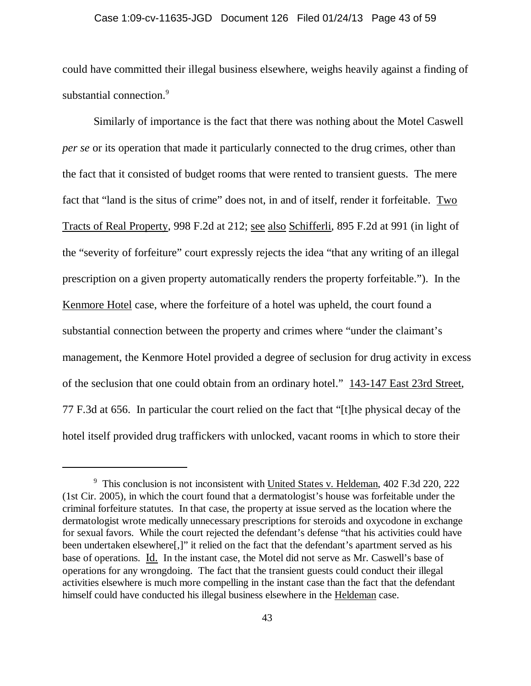#### Case 1:09-cv-11635-JGD Document 126 Filed 01/24/13 Page 43 of 59

could have committed their illegal business elsewhere, weighs heavily against a finding of substantial connection.<sup>9</sup>

Similarly of importance is the fact that there was nothing about the Motel Caswell *per se* or its operation that made it particularly connected to the drug crimes, other than the fact that it consisted of budget rooms that were rented to transient guests. The mere fact that "land is the situs of crime" does not, in and of itself, render it forfeitable. Two Tracts of Real Property, 998 F.2d at 212; see also Schifferli, 895 F.2d at 991 (in light of the "severity of forfeiture" court expressly rejects the idea "that any writing of an illegal prescription on a given property automatically renders the property forfeitable."). In the Kenmore Hotel case, where the forfeiture of a hotel was upheld, the court found a substantial connection between the property and crimes where "under the claimant's management, the Kenmore Hotel provided a degree of seclusion for drug activity in excess of the seclusion that one could obtain from an ordinary hotel." 143-147 East 23rd Street, 77 F.3d at 656. In particular the court relied on the fact that "[t]he physical decay of the hotel itself provided drug traffickers with unlocked, vacant rooms in which to store their

<sup>&</sup>lt;sup>9</sup> This conclusion is not inconsistent with United States v. Heldeman, 402 F.3d 220, 222 (1st Cir. 2005), in which the court found that a dermatologist's house was forfeitable under the criminal forfeiture statutes. In that case, the property at issue served as the location where the dermatologist wrote medically unnecessary prescriptions for steroids and oxycodone in exchange for sexual favors. While the court rejected the defendant's defense "that his activities could have been undertaken elsewhere[,]" it relied on the fact that the defendant's apartment served as his base of operations. Id. In the instant case, the Motel did not serve as Mr. Caswell's base of operations for any wrongdoing. The fact that the transient guests could conduct their illegal activities elsewhere is much more compelling in the instant case than the fact that the defendant himself could have conducted his illegal business elsewhere in the Heldeman case.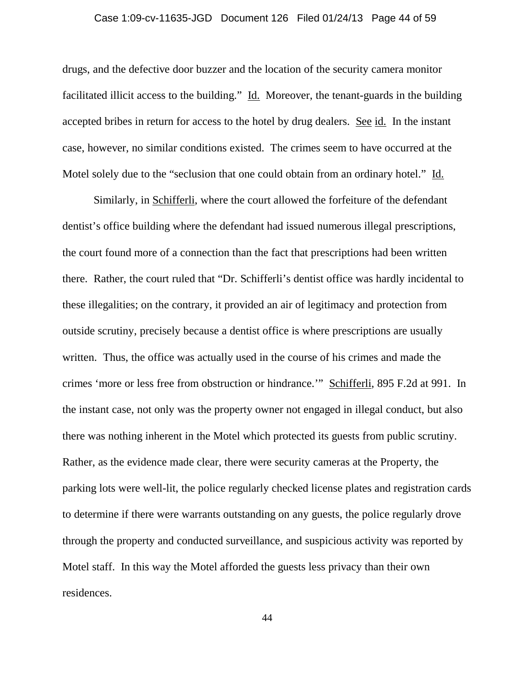#### Case 1:09-cv-11635-JGD Document 126 Filed 01/24/13 Page 44 of 59

drugs, and the defective door buzzer and the location of the security camera monitor facilitated illicit access to the building." Id. Moreover, the tenant-guards in the building accepted bribes in return for access to the hotel by drug dealers. See id. In the instant case, however, no similar conditions existed. The crimes seem to have occurred at the Motel solely due to the "seclusion that one could obtain from an ordinary hotel." Id.

Similarly, in Schifferli, where the court allowed the forfeiture of the defendant dentist's office building where the defendant had issued numerous illegal prescriptions, the court found more of a connection than the fact that prescriptions had been written there. Rather, the court ruled that "Dr. Schifferli's dentist office was hardly incidental to these illegalities; on the contrary, it provided an air of legitimacy and protection from outside scrutiny, precisely because a dentist office is where prescriptions are usually written. Thus, the office was actually used in the course of his crimes and made the crimes 'more or less free from obstruction or hindrance.'" Schifferli, 895 F.2d at 991. In the instant case, not only was the property owner not engaged in illegal conduct, but also there was nothing inherent in the Motel which protected its guests from public scrutiny. Rather, as the evidence made clear, there were security cameras at the Property, the parking lots were well-lit, the police regularly checked license plates and registration cards to determine if there were warrants outstanding on any guests, the police regularly drove through the property and conducted surveillance, and suspicious activity was reported by Motel staff. In this way the Motel afforded the guests less privacy than their own residences.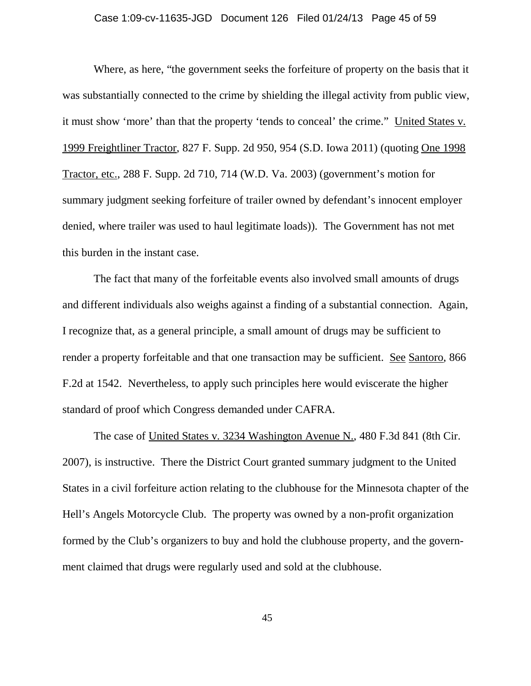## Case 1:09-cv-11635-JGD Document 126 Filed 01/24/13 Page 45 of 59

Where, as here, "the government seeks the forfeiture of property on the basis that it was substantially connected to the crime by shielding the illegal activity from public view, it must show 'more' than that the property 'tends to conceal' the crime." United States v. 1999 Freightliner Tractor, 827 F. Supp. 2d 950, 954 (S.D. Iowa 2011) (quoting One 1998 Tractor, etc., 288 F. Supp. 2d 710, 714 (W.D. Va. 2003) (government's motion for summary judgment seeking forfeiture of trailer owned by defendant's innocent employer denied, where trailer was used to haul legitimate loads)). The Government has not met this burden in the instant case.

The fact that many of the forfeitable events also involved small amounts of drugs and different individuals also weighs against a finding of a substantial connection. Again, I recognize that, as a general principle, a small amount of drugs may be sufficient to render a property forfeitable and that one transaction may be sufficient. See Santoro, 866 F.2d at 1542. Nevertheless, to apply such principles here would eviscerate the higher standard of proof which Congress demanded under CAFRA.

The case of United States v. 3234 Washington Avenue N., 480 F.3d 841 (8th Cir. 2007), is instructive. There the District Court granted summary judgment to the United States in a civil forfeiture action relating to the clubhouse for the Minnesota chapter of the Hell's Angels Motorcycle Club. The property was owned by a non-profit organization formed by the Club's organizers to buy and hold the clubhouse property, and the government claimed that drugs were regularly used and sold at the clubhouse.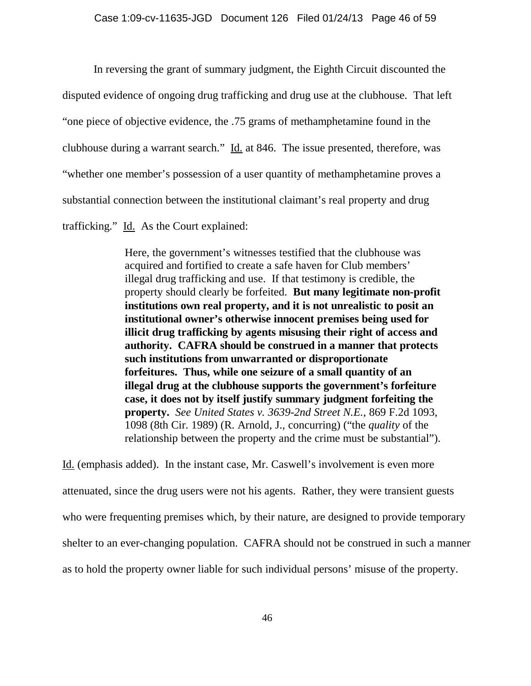In reversing the grant of summary judgment, the Eighth Circuit discounted the disputed evidence of ongoing drug trafficking and drug use at the clubhouse. That left "one piece of objective evidence, the .75 grams of methamphetamine found in the clubhouse during a warrant search." Id. at 846. The issue presented, therefore, was "whether one member's possession of a user quantity of methamphetamine proves a substantial connection between the institutional claimant's real property and drug trafficking." Id. As the Court explained:

> Here, the government's witnesses testified that the clubhouse was acquired and fortified to create a safe haven for Club members' illegal drug trafficking and use. If that testimony is credible, the property should clearly be forfeited. **But many legitimate non-profit institutions own real property, and it is not unrealistic to posit an institutional owner's otherwise innocent premises being used for illicit drug trafficking by agents misusing their right of access and authority. CAFRA should be construed in a manner that protects such institutions from unwarranted or disproportionate forfeitures. Thus, while one seizure of a small quantity of an illegal drug at the clubhouse supports the government's forfeiture case, it does not by itself justify summary judgment forfeiting the property.** *See United States v. 3639-2nd Street N.E.*, 869 F.2d 1093, 1098 (8th Cir. 1989) (R. Arnold, J., concurring) ("the *quality* of the relationship between the property and the crime must be substantial").

Id. (emphasis added). In the instant case, Mr. Caswell's involvement is even more attenuated, since the drug users were not his agents. Rather, they were transient guests who were frequenting premises which, by their nature, are designed to provide temporary shelter to an ever-changing population. CAFRA should not be construed in such a manner as to hold the property owner liable for such individual persons' misuse of the property.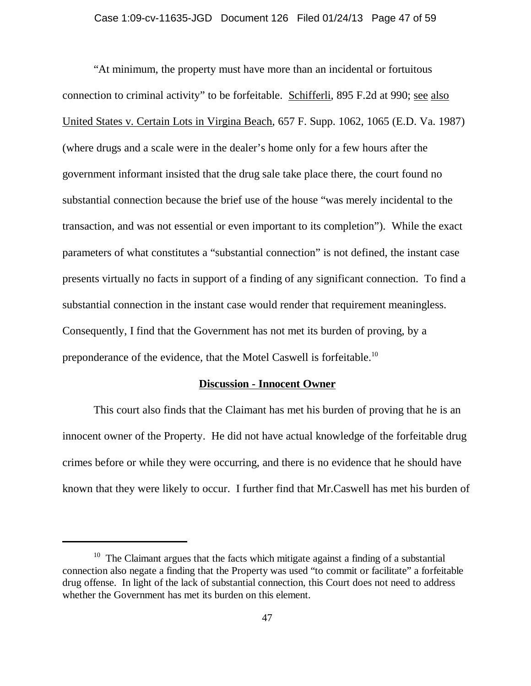"At minimum, the property must have more than an incidental or fortuitous connection to criminal activity" to be forfeitable. Schifferli, 895 F.2d at 990; see also United States v. Certain Lots in Virgina Beach, 657 F. Supp. 1062, 1065 (E.D. Va. 1987) (where drugs and a scale were in the dealer's home only for a few hours after the government informant insisted that the drug sale take place there, the court found no substantial connection because the brief use of the house "was merely incidental to the transaction, and was not essential or even important to its completion"). While the exact parameters of what constitutes a "substantial connection" is not defined, the instant case presents virtually no facts in support of a finding of any significant connection. To find a substantial connection in the instant case would render that requirement meaningless. Consequently, I find that the Government has not met its burden of proving, by a preponderance of the evidence, that the Motel Caswell is forfeitable.10

## **Discussion - Innocent Owner**

This court also finds that the Claimant has met his burden of proving that he is an innocent owner of the Property. He did not have actual knowledge of the forfeitable drug crimes before or while they were occurring, and there is no evidence that he should have known that they were likely to occur. I further find that Mr.Caswell has met his burden of

 $10$  The Claimant argues that the facts which mitigate against a finding of a substantial connection also negate a finding that the Property was used "to commit or facilitate" a forfeitable drug offense. In light of the lack of substantial connection, this Court does not need to address whether the Government has met its burden on this element.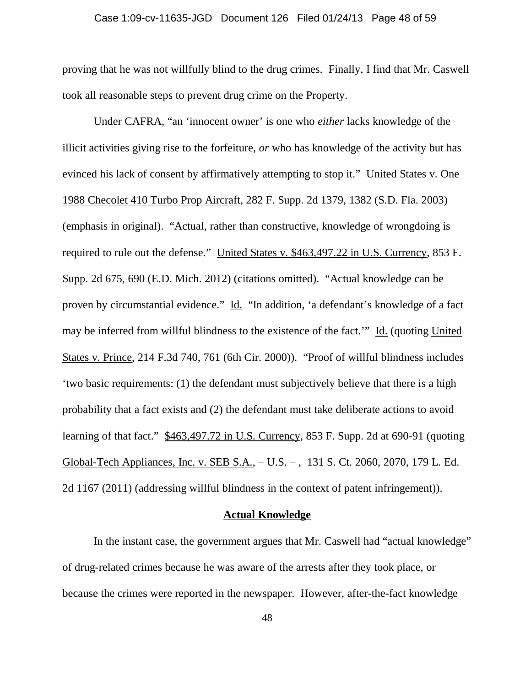#### Case 1:09-cv-11635-JGD Document 126 Filed 01/24/13 Page 48 of 59

proving that he was not willfully blind to the drug crimes. Finally, I find that Mr. Caswell took all reasonable steps to prevent drug crime on the Property.

Under CAFRA, "an 'innocent owner' is one who *either* lacks knowledge of the illicit activities giving rise to the forfeiture, *or* who has knowledge of the activity but has evinced his lack of consent by affirmatively attempting to stop it." United States v. One 1988 Checolet 410 Turbo Prop Aircraft, 282 F. Supp. 2d 1379, 1382 (S.D. Fla. 2003) (emphasis in original). "Actual, rather than constructive, knowledge of wrongdoing is required to rule out the defense." United States v. \$463,497.22 in U.S. Currency, 853 F. Supp. 2d 675, 690 (E.D. Mich. 2012) (citations omitted). "Actual knowledge can be proven by circumstantial evidence." Id. "In addition, 'a defendant's knowledge of a fact may be inferred from willful blindness to the existence of the fact.'" Id. (quoting United States v. Prince, 214 F.3d 740, 761 (6th Cir. 2000)). "Proof of willful blindness includes 'two basic requirements: (1) the defendant must subjectively believe that there is a high probability that a fact exists and (2) the defendant must take deliberate actions to avoid learning of that fact." \$463,497.72 in U.S. Currency, 853 F. Supp. 2d at 690-91 (quoting Global-Tech Appliances, Inc. v. SEB S.A., – U.S. – , 131 S. Ct. 2060, 2070, 179 L. Ed. 2d 1167 (2011) (addressing willful blindness in the context of patent infringement)).

### **Actual Knowledge**

In the instant case, the government argues that Mr. Caswell had "actual knowledge" of drug-related crimes because he was aware of the arrests after they took place, or because the crimes were reported in the newspaper. However, after-the-fact knowledge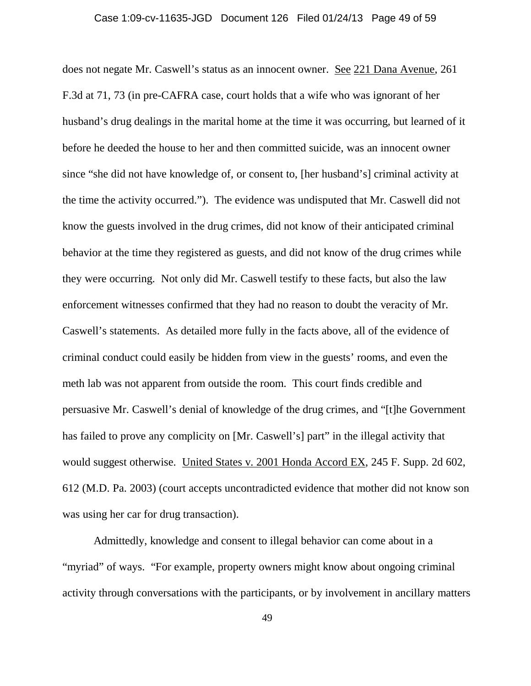does not negate Mr. Caswell's status as an innocent owner. See 221 Dana Avenue, 261 F.3d at 71, 73 (in pre-CAFRA case, court holds that a wife who was ignorant of her husband's drug dealings in the marital home at the time it was occurring, but learned of it before he deeded the house to her and then committed suicide, was an innocent owner since "she did not have knowledge of, or consent to, [her husband's] criminal activity at the time the activity occurred."). The evidence was undisputed that Mr. Caswell did not know the guests involved in the drug crimes, did not know of their anticipated criminal behavior at the time they registered as guests, and did not know of the drug crimes while they were occurring. Not only did Mr. Caswell testify to these facts, but also the law enforcement witnesses confirmed that they had no reason to doubt the veracity of Mr. Caswell's statements. As detailed more fully in the facts above, all of the evidence of criminal conduct could easily be hidden from view in the guests' rooms, and even the meth lab was not apparent from outside the room. This court finds credible and persuasive Mr. Caswell's denial of knowledge of the drug crimes, and "[t]he Government has failed to prove any complicity on [Mr. Caswell's] part" in the illegal activity that would suggest otherwise. United States v. 2001 Honda Accord EX, 245 F. Supp. 2d 602, 612 (M.D. Pa. 2003) (court accepts uncontradicted evidence that mother did not know son was using her car for drug transaction).

Admittedly, knowledge and consent to illegal behavior can come about in a "myriad" of ways. "For example, property owners might know about ongoing criminal activity through conversations with the participants, or by involvement in ancillary matters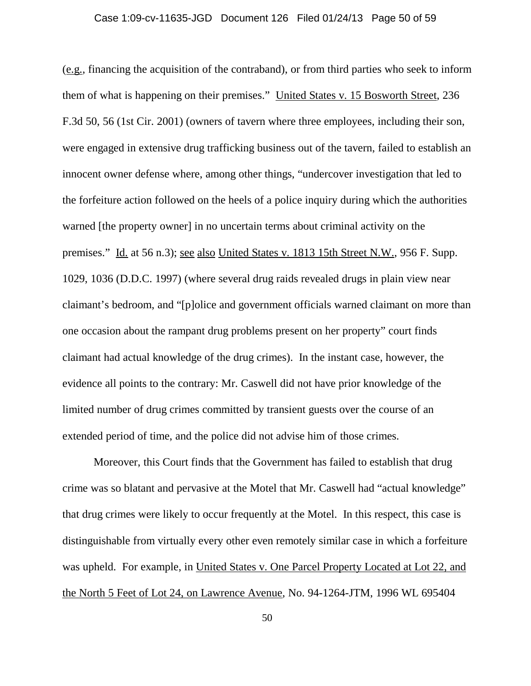#### Case 1:09-cv-11635-JGD Document 126 Filed 01/24/13 Page 50 of 59

(e.g., financing the acquisition of the contraband), or from third parties who seek to inform them of what is happening on their premises." United States v. 15 Bosworth Street, 236 F.3d 50, 56 (1st Cir. 2001) (owners of tavern where three employees, including their son, were engaged in extensive drug trafficking business out of the tavern, failed to establish an innocent owner defense where, among other things, "undercover investigation that led to the forfeiture action followed on the heels of a police inquiry during which the authorities warned [the property owner] in no uncertain terms about criminal activity on the premises." Id. at 56 n.3); see also United States v. 1813 15th Street N.W., 956 F. Supp. 1029, 1036 (D.D.C. 1997) (where several drug raids revealed drugs in plain view near claimant's bedroom, and "[p]olice and government officials warned claimant on more than one occasion about the rampant drug problems present on her property" court finds claimant had actual knowledge of the drug crimes). In the instant case, however, the evidence all points to the contrary: Mr. Caswell did not have prior knowledge of the limited number of drug crimes committed by transient guests over the course of an extended period of time, and the police did not advise him of those crimes.

Moreover, this Court finds that the Government has failed to establish that drug crime was so blatant and pervasive at the Motel that Mr. Caswell had "actual knowledge" that drug crimes were likely to occur frequently at the Motel. In this respect, this case is distinguishable from virtually every other even remotely similar case in which a forfeiture was upheld. For example, in United States v. One Parcel Property Located at Lot 22, and the North 5 Feet of Lot 24, on Lawrence Avenue, No. 94-1264-JTM, 1996 WL 695404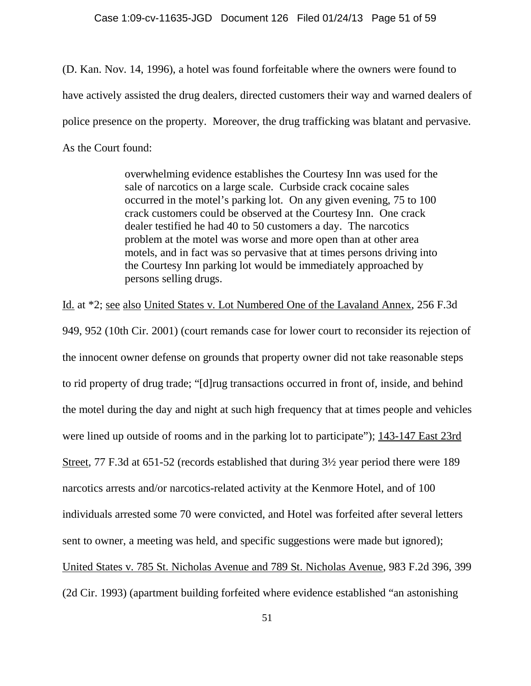(D. Kan. Nov. 14, 1996), a hotel was found forfeitable where the owners were found to have actively assisted the drug dealers, directed customers their way and warned dealers of police presence on the property. Moreover, the drug trafficking was blatant and pervasive. As the Court found:

> overwhelming evidence establishes the Courtesy Inn was used for the sale of narcotics on a large scale. Curbside crack cocaine sales occurred in the motel's parking lot. On any given evening, 75 to 100 crack customers could be observed at the Courtesy Inn. One crack dealer testified he had 40 to 50 customers a day. The narcotics problem at the motel was worse and more open than at other area motels, and in fact was so pervasive that at times persons driving into the Courtesy Inn parking lot would be immediately approached by persons selling drugs.

Id. at \*2; see also United States v. Lot Numbered One of the Lavaland Annex, 256 F.3d 949, 952 (10th Cir. 2001) (court remands case for lower court to reconsider its rejection of the innocent owner defense on grounds that property owner did not take reasonable steps to rid property of drug trade; "[d]rug transactions occurred in front of, inside, and behind the motel during the day and night at such high frequency that at times people and vehicles were lined up outside of rooms and in the parking lot to participate"); 143-147 East 23rd Street, 77 F.3d at 651-52 (records established that during 3½ year period there were 189 narcotics arrests and/or narcotics-related activity at the Kenmore Hotel, and of 100 individuals arrested some 70 were convicted, and Hotel was forfeited after several letters sent to owner, a meeting was held, and specific suggestions were made but ignored); United States v. 785 St. Nicholas Avenue and 789 St. Nicholas Avenue, 983 F.2d 396, 399 (2d Cir. 1993) (apartment building forfeited where evidence established "an astonishing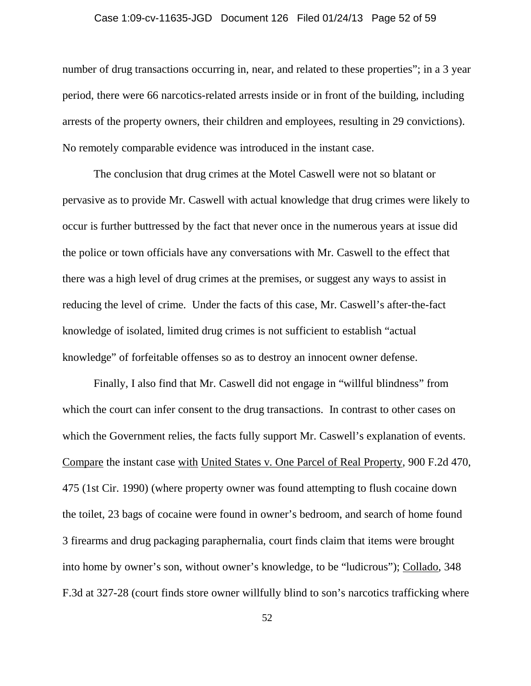#### Case 1:09-cv-11635-JGD Document 126 Filed 01/24/13 Page 52 of 59

number of drug transactions occurring in, near, and related to these properties"; in a 3 year period, there were 66 narcotics-related arrests inside or in front of the building, including arrests of the property owners, their children and employees, resulting in 29 convictions). No remotely comparable evidence was introduced in the instant case.

The conclusion that drug crimes at the Motel Caswell were not so blatant or pervasive as to provide Mr. Caswell with actual knowledge that drug crimes were likely to occur is further buttressed by the fact that never once in the numerous years at issue did the police or town officials have any conversations with Mr. Caswell to the effect that there was a high level of drug crimes at the premises, or suggest any ways to assist in reducing the level of crime. Under the facts of this case, Mr. Caswell's after-the-fact knowledge of isolated, limited drug crimes is not sufficient to establish "actual knowledge" of forfeitable offenses so as to destroy an innocent owner defense.

Finally, I also find that Mr. Caswell did not engage in "willful blindness" from which the court can infer consent to the drug transactions. In contrast to other cases on which the Government relies, the facts fully support Mr. Caswell's explanation of events. Compare the instant case with United States v. One Parcel of Real Property, 900 F.2d 470, 475 (1st Cir. 1990) (where property owner was found attempting to flush cocaine down the toilet, 23 bags of cocaine were found in owner's bedroom, and search of home found 3 firearms and drug packaging paraphernalia, court finds claim that items were brought into home by owner's son, without owner's knowledge, to be "ludicrous"); Collado, 348 F.3d at 327-28 (court finds store owner willfully blind to son's narcotics trafficking where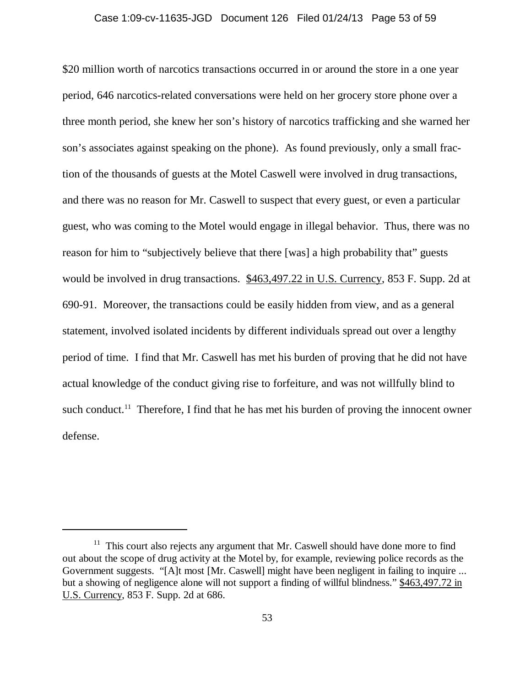#### Case 1:09-cv-11635-JGD Document 126 Filed 01/24/13 Page 53 of 59

\$20 million worth of narcotics transactions occurred in or around the store in a one year period, 646 narcotics-related conversations were held on her grocery store phone over a three month period, she knew her son's history of narcotics trafficking and she warned her son's associates against speaking on the phone). As found previously, only a small fraction of the thousands of guests at the Motel Caswell were involved in drug transactions, and there was no reason for Mr. Caswell to suspect that every guest, or even a particular guest, who was coming to the Motel would engage in illegal behavior. Thus, there was no reason for him to "subjectively believe that there [was] a high probability that" guests would be involved in drug transactions. \$463,497.22 in U.S. Currency, 853 F. Supp. 2d at 690-91. Moreover, the transactions could be easily hidden from view, and as a general statement, involved isolated incidents by different individuals spread out over a lengthy period of time. I find that Mr. Caswell has met his burden of proving that he did not have actual knowledge of the conduct giving rise to forfeiture, and was not willfully blind to such conduct.<sup>11</sup> Therefore, I find that he has met his burden of proving the innocent owner defense.

 $11$  This court also rejects any argument that Mr. Caswell should have done more to find out about the scope of drug activity at the Motel by, for example, reviewing police records as the Government suggests. "[A]t most [Mr. Caswell] might have been negligent in failing to inquire ... but a showing of negligence alone will not support a finding of willful blindness." \$463,497.72 in U.S. Currency, 853 F. Supp. 2d at 686.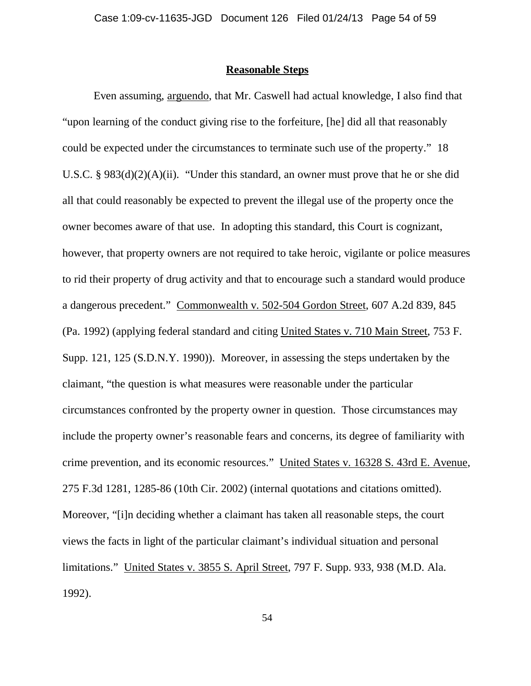## **Reasonable Steps**

Even assuming, arguendo, that Mr. Caswell had actual knowledge, I also find that "upon learning of the conduct giving rise to the forfeiture, [he] did all that reasonably could be expected under the circumstances to terminate such use of the property." 18 U.S.C. § 983(d)(2)(A)(ii). "Under this standard, an owner must prove that he or she did all that could reasonably be expected to prevent the illegal use of the property once the owner becomes aware of that use. In adopting this standard, this Court is cognizant, however, that property owners are not required to take heroic, vigilante or police measures to rid their property of drug activity and that to encourage such a standard would produce a dangerous precedent." Commonwealth v. 502-504 Gordon Street, 607 A.2d 839, 845 (Pa. 1992) (applying federal standard and citing United States v. 710 Main Street, 753 F. Supp. 121, 125 (S.D.N.Y. 1990)). Moreover, in assessing the steps undertaken by the claimant, "the question is what measures were reasonable under the particular circumstances confronted by the property owner in question. Those circumstances may include the property owner's reasonable fears and concerns, its degree of familiarity with crime prevention, and its economic resources." United States v. 16328 S. 43rd E. Avenue, 275 F.3d 1281, 1285-86 (10th Cir. 2002) (internal quotations and citations omitted). Moreover, "[i]n deciding whether a claimant has taken all reasonable steps, the court views the facts in light of the particular claimant's individual situation and personal limitations." United States v. 3855 S. April Street, 797 F. Supp. 933, 938 (M.D. Ala. 1992).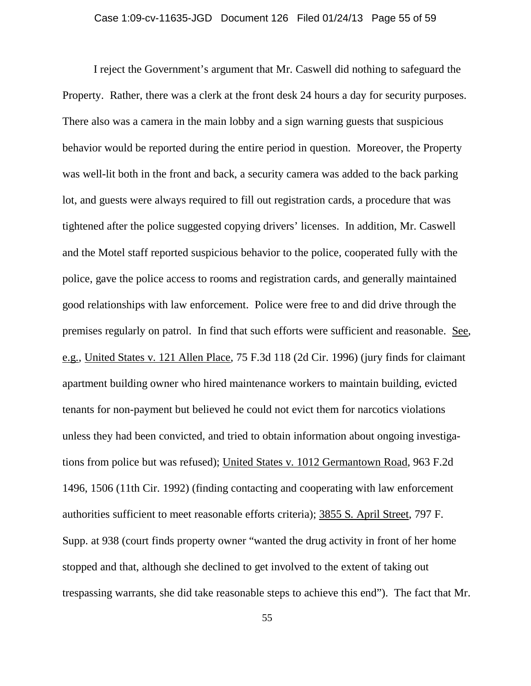I reject the Government's argument that Mr. Caswell did nothing to safeguard the Property. Rather, there was a clerk at the front desk 24 hours a day for security purposes. There also was a camera in the main lobby and a sign warning guests that suspicious behavior would be reported during the entire period in question. Moreover, the Property was well-lit both in the front and back, a security camera was added to the back parking lot, and guests were always required to fill out registration cards, a procedure that was tightened after the police suggested copying drivers' licenses. In addition, Mr. Caswell and the Motel staff reported suspicious behavior to the police, cooperated fully with the police, gave the police access to rooms and registration cards, and generally maintained good relationships with law enforcement. Police were free to and did drive through the premises regularly on patrol. In find that such efforts were sufficient and reasonable. See, e.g., United States v. 121 Allen Place, 75 F.3d 118 (2d Cir. 1996) (jury finds for claimant apartment building owner who hired maintenance workers to maintain building, evicted tenants for non-payment but believed he could not evict them for narcotics violations unless they had been convicted, and tried to obtain information about ongoing investigations from police but was refused); United States v. 1012 Germantown Road, 963 F.2d 1496, 1506 (11th Cir. 1992) (finding contacting and cooperating with law enforcement authorities sufficient to meet reasonable efforts criteria); 3855 S. April Street, 797 F. Supp. at 938 (court finds property owner "wanted the drug activity in front of her home stopped and that, although she declined to get involved to the extent of taking out trespassing warrants, she did take reasonable steps to achieve this end"). The fact that Mr.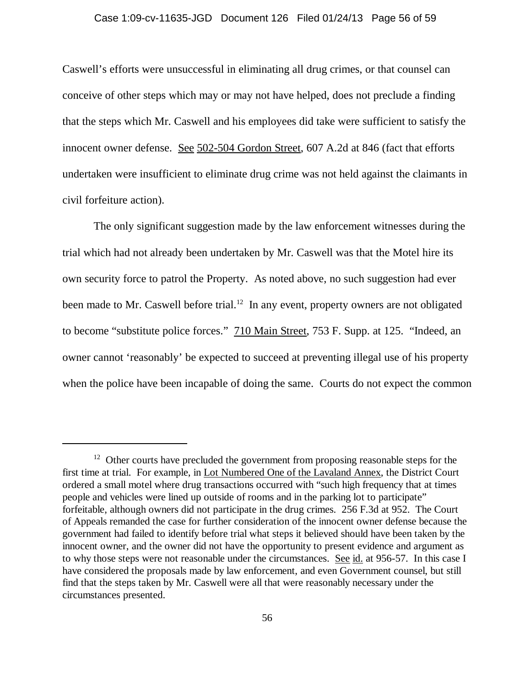#### Case 1:09-cv-11635-JGD Document 126 Filed 01/24/13 Page 56 of 59

Caswell's efforts were unsuccessful in eliminating all drug crimes, or that counsel can conceive of other steps which may or may not have helped, does not preclude a finding that the steps which Mr. Caswell and his employees did take were sufficient to satisfy the innocent owner defense. See 502-504 Gordon Street, 607 A.2d at 846 (fact that efforts undertaken were insufficient to eliminate drug crime was not held against the claimants in civil forfeiture action).

The only significant suggestion made by the law enforcement witnesses during the trial which had not already been undertaken by Mr. Caswell was that the Motel hire its own security force to patrol the Property. As noted above, no such suggestion had ever been made to Mr. Caswell before trial.<sup>12</sup> In any event, property owners are not obligated to become "substitute police forces." 710 Main Street, 753 F. Supp. at 125. "Indeed, an owner cannot 'reasonably' be expected to succeed at preventing illegal use of his property when the police have been incapable of doing the same. Courts do not expect the common

 $12$  Other courts have precluded the government from proposing reasonable steps for the first time at trial. For example, in Lot Numbered One of the Lavaland Annex, the District Court ordered a small motel where drug transactions occurred with "such high frequency that at times people and vehicles were lined up outside of rooms and in the parking lot to participate" forfeitable, although owners did not participate in the drug crimes. 256 F.3d at 952. The Court of Appeals remanded the case for further consideration of the innocent owner defense because the government had failed to identify before trial what steps it believed should have been taken by the innocent owner, and the owner did not have the opportunity to present evidence and argument as to why those steps were not reasonable under the circumstances. See id. at 956-57. In this case I have considered the proposals made by law enforcement, and even Government counsel, but still find that the steps taken by Mr. Caswell were all that were reasonably necessary under the circumstances presented.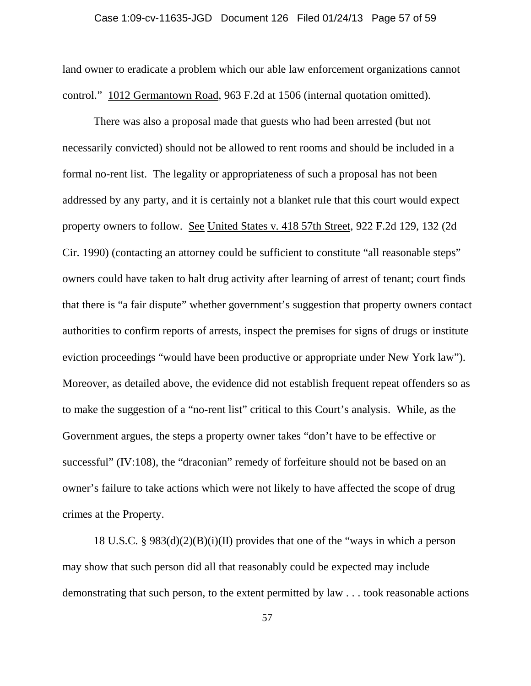#### Case 1:09-cv-11635-JGD Document 126 Filed 01/24/13 Page 57 of 59

land owner to eradicate a problem which our able law enforcement organizations cannot control." 1012 Germantown Road, 963 F.2d at 1506 (internal quotation omitted).

There was also a proposal made that guests who had been arrested (but not necessarily convicted) should not be allowed to rent rooms and should be included in a formal no-rent list. The legality or appropriateness of such a proposal has not been addressed by any party, and it is certainly not a blanket rule that this court would expect property owners to follow. See United States v. 418 57th Street, 922 F.2d 129, 132 (2d Cir. 1990) (contacting an attorney could be sufficient to constitute "all reasonable steps" owners could have taken to halt drug activity after learning of arrest of tenant; court finds that there is "a fair dispute" whether government's suggestion that property owners contact authorities to confirm reports of arrests, inspect the premises for signs of drugs or institute eviction proceedings "would have been productive or appropriate under New York law"). Moreover, as detailed above, the evidence did not establish frequent repeat offenders so as to make the suggestion of a "no-rent list" critical to this Court's analysis. While, as the Government argues, the steps a property owner takes "don't have to be effective or successful" (IV:108), the "draconian" remedy of forfeiture should not be based on an owner's failure to take actions which were not likely to have affected the scope of drug crimes at the Property.

18 U.S.C. § 983(d)(2)(B)(i)(II) provides that one of the "ways in which a person may show that such person did all that reasonably could be expected may include demonstrating that such person, to the extent permitted by law . . . took reasonable actions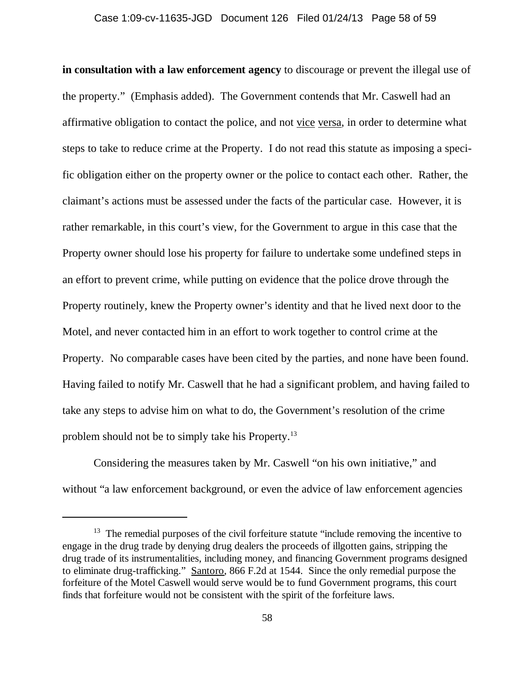**in consultation with a law enforcement agency** to discourage or prevent the illegal use of the property." (Emphasis added). The Government contends that Mr. Caswell had an affirmative obligation to contact the police, and not vice versa, in order to determine what steps to take to reduce crime at the Property. I do not read this statute as imposing a specific obligation either on the property owner or the police to contact each other. Rather, the claimant's actions must be assessed under the facts of the particular case. However, it is rather remarkable, in this court's view, for the Government to argue in this case that the Property owner should lose his property for failure to undertake some undefined steps in an effort to prevent crime, while putting on evidence that the police drove through the Property routinely, knew the Property owner's identity and that he lived next door to the Motel, and never contacted him in an effort to work together to control crime at the Property. No comparable cases have been cited by the parties, and none have been found. Having failed to notify Mr. Caswell that he had a significant problem, and having failed to take any steps to advise him on what to do, the Government's resolution of the crime problem should not be to simply take his Property.13

Considering the measures taken by Mr. Caswell "on his own initiative," and without "a law enforcement background, or even the advice of law enforcement agencies

<sup>&</sup>lt;sup>13</sup> The remedial purposes of the civil forfeiture statute "include removing the incentive to engage in the drug trade by denying drug dealers the proceeds of illgotten gains, stripping the drug trade of its instrumentalities, including money, and financing Government programs designed to eliminate drug-trafficking." Santoro, 866 F.2d at 1544. Since the only remedial purpose the forfeiture of the Motel Caswell would serve would be to fund Government programs, this court finds that forfeiture would not be consistent with the spirit of the forfeiture laws.